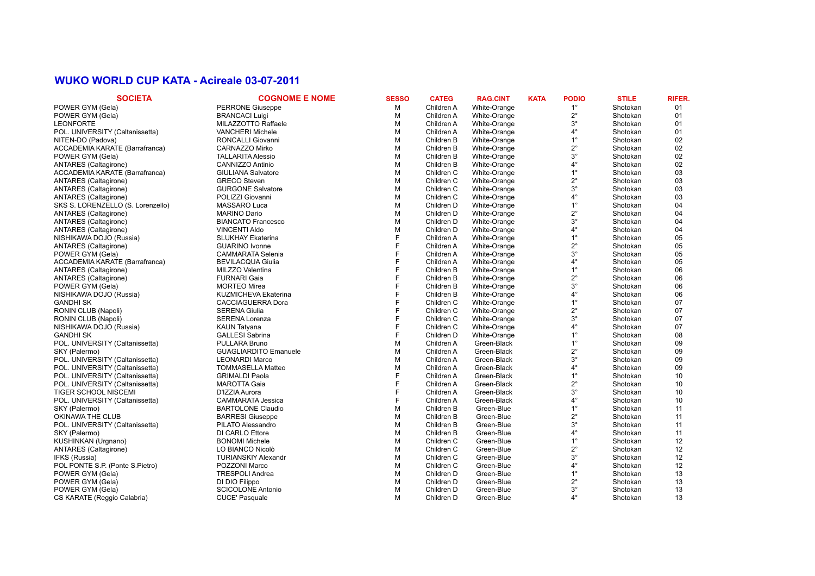#### **WUKO WORLD CUP KATA - Acireale 03-07-2011**

| <b>SOCIETA</b>                        | <b>COGNOME E NOME</b>        | <b>SESSO</b> | <b>CATEG</b> | <b>RAG.CINT</b> | <b>KATA</b> | <b>PODIO</b> | <b>STILE</b> | <b>RIFER.</b> |
|---------------------------------------|------------------------------|--------------|--------------|-----------------|-------------|--------------|--------------|---------------|
| POWER GYM (Gela)                      | <b>PERRONE Giuseppe</b>      | м            | Children A   | White-Orange    |             | $1^{\circ}$  | Shotokan     | 01            |
| POWER GYM (Gela)                      | <b>BRANCACI Luigi</b>        | M            | Children A   | White-Orange    |             | $2^{\circ}$  | Shotokan     | 01            |
| <b>LEONFORTE</b>                      | MILAZZOTTO Raffaele          | M            | Children A   | White-Orange    |             | $3^\circ$    | Shotokan     | 01            |
| POL. UNIVERSITY (Caltanissetta)       | <b>VANCHERI Michele</b>      | M            | Children A   | White-Orange    |             | $4^{\circ}$  | Shotokan     | 01            |
| NITEN-DO (Padova)                     | RONCALLI Giovanni            | M            | Children B   | White-Orange    |             | $1^{\circ}$  | Shotokan     | 02            |
| ACCADEMIA KARATE (Barrafranca)        | CARNAZZO Mirko               | м            | Children B   | White-Orange    |             | $2^{\circ}$  | Shotokan     | 02            |
| POWER GYM (Gela)                      | <b>TALLARITA Alessio</b>     | M            | Children B   | White-Orange    |             | $3^\circ$    | Shotokan     | 02            |
| <b>ANTARES (Caltagirone)</b>          | CANNIZZO Antinio             | м            | Children B   | White-Orange    |             | $4^{\circ}$  | Shotokan     | 02            |
| ACCADEMIA KARATE (Barrafranca)        | <b>GIULIANA Salvatore</b>    | M            | Children C   | White-Orange    |             | $1^{\circ}$  | Shotokan     | 03            |
| ANTARES (Caltagirone)                 | <b>GRECO Steven</b>          | м            | Children C   | White-Orange    |             | $2^{\circ}$  | Shotokan     | 03            |
| ANTARES (Caltagirone)                 | <b>GURGONE Salvatore</b>     | M            | Children C   | White-Orange    |             | $3^\circ$    | Shotokan     | 03            |
| <b>ANTARES</b> (Caltagirone)          | POLIZZI Giovanni             | м            | Children C   | White-Orange    |             | $4^{\circ}$  | Shotokan     | 03            |
| SKS S. LORENZELLO (S. Lorenzello)     | MASSARO Luca                 | м            | Children D   | White-Orange    |             | $1^{\circ}$  | Shotokan     | 04            |
| ANTARES (Caltagirone)                 | MARINO Dario                 | M            | Children D   | White-Orange    |             | $2^{\circ}$  | Shotokan     | 04            |
| ANTARES (Caltagirone)                 | <b>BIANCATO Francesco</b>    | M            | Children D   | White-Orange    |             | $3^\circ$    | Shotokan     | 04            |
| <b>ANTARES</b> (Caltagirone)          | <b>VINCENTI Aldo</b>         | М            | Children D   | White-Orange    |             | $4^{\circ}$  | Shotokan     | 04            |
| NISHIKAWA DOJO (Russia)               | <b>SLUKHAY Ekaterina</b>     | F            | Children A   | White-Orange    |             | $1^{\circ}$  | Shotokan     | 05            |
| <b>ANTARES (Caltagirone)</b>          | <b>GUARINO Ivonne</b>        | F            | Children A   | White-Orange    |             | $2^{\circ}$  | Shotokan     | 05            |
| POWER GYM (Gela)                      | <b>CAMMARATA Selenia</b>     |              | Children A   | White-Orange    |             | $3^\circ$    | Shotokan     | 05            |
| <b>ACCADEMIA KARATE (Barrafranca)</b> | <b>BEVILACQUA Giulia</b>     |              | Children A   | White-Orange    |             | $4^{\circ}$  | Shotokan     | 05            |
| ANTARES (Caltagirone)                 | MILZZO Valentina             |              | Children B   | White-Orange    |             | $1^{\circ}$  | Shotokan     | 06            |
| <b>ANTARES (Caltagirone)</b>          | <b>FURNARI Gaia</b>          |              | Children B   | White-Orange    |             | $2^{\circ}$  | Shotokan     | 06            |
| POWER GYM (Gela)                      | <b>MORTEO Mirea</b>          |              | Children B   | White-Orange    |             | $3^{\circ}$  | Shotokan     | 06            |
| NISHIKAWA DOJO (Russia)               | <b>KUZMICHEVA Ekaterina</b>  |              | Children B   | White-Orange    |             | $4^{\circ}$  | Shotokan     | 06            |
| GANDHI SK                             | <b>CACCIAGUERRA Dora</b>     |              | Children C   | White-Orange    |             | $1^{\circ}$  | Shotokan     | 07            |
| RONIN CLUB (Napoli)                   | <b>SERENA Giulia</b>         |              | Children C   | White-Orange    |             | $2^{\circ}$  | Shotokan     | 07            |
| RONIN CLUB (Napoli)                   | <b>SERENA Lorenza</b>        |              | Children C   | White-Orange    |             | $3^\circ$    | Shotokan     | 07            |
| NISHIKAWA DOJO (Russia)               | <b>KAUN Tatyana</b>          |              | Children C   | White-Orange    |             | $4^{\circ}$  | Shotokan     | 07            |
| GANDHI SK                             | <b>GALLESI Sabrina</b>       | F            | Children D   | White-Orange    |             | $1^{\circ}$  | Shotokan     | 08            |
| POL. UNIVERSITY (Caltanissetta)       | PULLARA Bruno                | M            | Children A   | Green-Black     |             | $1^{\circ}$  | Shotokan     | 09            |
| SKY (Palermo)                         | <b>GUAGLIARDITO Emanuele</b> | M            | Children A   | Green-Black     |             | $2^{\circ}$  | Shotokan     | 09            |
| POL. UNIVERSITY (Caltanissetta)       | <b>LEONARDI Marco</b>        | M            | Children A   | Green-Black     |             | $3^\circ$    | Shotokan     | 09            |
| POL. UNIVERSITY (Caltanissetta)       | <b>TOMMASELLA Matteo</b>     | M            | Children A   | Green-Black     |             | $4^\circ$    | Shotokan     | 09            |
| POL. UNIVERSITY (Caltanissetta)       | <b>GRIMALDI Paola</b>        | F            | Children A   | Green-Black     |             | $1^{\circ}$  | Shotokan     | 10            |
| POL. UNIVERSITY (Caltanissetta)       | <b>MAROTTA Gaia</b>          | F            | Children A   | Green-Black     |             | $2^{\circ}$  | Shotokan     | 10            |
| TIGER SCHOOL NISCEMI                  | D'IZZIA Aurora               | F            | Children A   | Green-Black     |             | $3^\circ$    | Shotokan     | 10            |
| POL. UNIVERSITY (Caltanissetta)       | <b>CAMMARATA Jessica</b>     | F            | Children A   | Green-Black     |             | $4^{\circ}$  | Shotokan     | 10            |
| SKY (Palermo)                         | <b>BARTOLONE Claudio</b>     | М            | Children B   | Green-Blue      |             | $1^{\circ}$  | Shotokan     | 11            |
| OKINAWA THE CLUB                      | <b>BARRESI Giuseppe</b>      | М            | Children B   | Green-Blue      |             | $2^{\circ}$  | Shotokan     | 11            |
| POL. UNIVERSITY (Caltanissetta)       | PILATO Alessandro            | M            | Children B   | Green-Blue      |             | $3^\circ$    | Shotokan     | 11            |
| SKY (Palermo)                         | DI CARLO Ettore              | M            | Children B   | Green-Blue      |             | $4^{\circ}$  | Shotokan     | 11            |
| KUSHINKAN (Urqnano)                   | <b>BONOMI Michele</b>        | M            | Children C   | Green-Blue      |             | $1^{\circ}$  | Shotokan     | 12            |
| <b>ANTARES (Caltagirone)</b>          | LO BIANCO Nicolò             | M            | Children C   | Green-Blue      |             | $2^{\circ}$  | Shotokan     | 12            |
| IFKS (Russia)                         | <b>TURIANSKIY Alexandr</b>   | M            | Children C   | Green-Blue      |             | $3^\circ$    | Shotokan     | 12            |
| POL PONTE S.P. (Ponte S.Pietro)       | POZZONI Marco                | M            | Children C   | Green-Blue      |             | $4^{\circ}$  | Shotokan     | 12            |
| POWER GYM (Gela)                      | <b>TRESPOLI Andrea</b>       | M            | Children D   | Green-Blue      |             | $1^{\circ}$  | Shotokan     | 13            |
| POWER GYM (Gela)                      | DI DIO Filippo               | M            | Children D   | Green-Blue      |             | $2^{\circ}$  | Shotokan     | 13            |
| POWER GYM (Gela)                      | <b>SCICOLONE Antonio</b>     | M            | Children D   | Green-Blue      |             | $3^\circ$    | Shotokan     | 13            |
| CS KARATE (Reggio Calabria)           | <b>CUCE' Pasquale</b>        | M            | Children D   | Green-Blue      |             | $4^\circ$    | Shotokan     | 13            |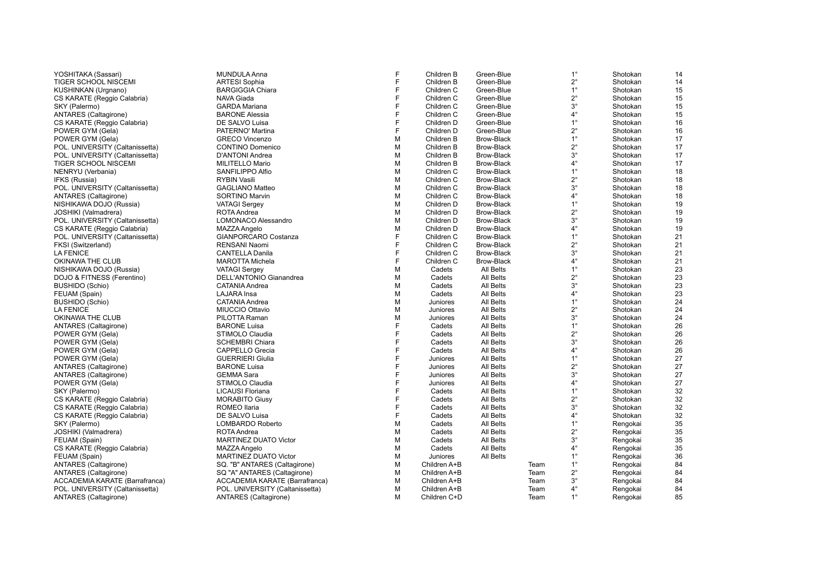| YOSHITAKA (Sassari)                             | <b>MUNDULA Anna</b>                        | F      | Children B   | Green-Blue        |      | $1^{\circ}$ | Shotokan | 14 |
|-------------------------------------------------|--------------------------------------------|--------|--------------|-------------------|------|-------------|----------|----|
| TIGER SCHOOL NISCEMI                            | <b>ARTESI Sophia</b>                       | E      | Children B   | Green-Blue        |      | $2^{\circ}$ | Shotokan | 14 |
| KUSHINKAN (Urgnano)                             | <b>BARGIGGIA Chiara</b>                    | F      | Children C   | Green-Blue        |      | $1^{\circ}$ | Shotokan | 15 |
| CS KARATE (Reggio Calabria)                     | <b>NAVA Giada</b>                          | F      | Children C   | Green-Blue        |      | $2^{\circ}$ | Shotokan | 15 |
| SKY (Palermo)                                   | <b>GARDA Mariana</b>                       |        | Children C   | Green-Blue        |      | $3^\circ$   | Shotokan | 15 |
| <b>ANTARES (Caltagirone)</b>                    | <b>BARONE Alessia</b>                      | F      | Children C   | Green-Blue        |      | $4^{\circ}$ | Shotokan | 15 |
| CS KARATE (Reggio Calabria)                     | DE SALVO Luisa                             | F      | Children D   | Green-Blue        |      | $1^{\circ}$ | Shotokan | 16 |
| POWER GYM (Gela)                                | PATERNO' Martina                           | F      | Children D   | Green-Blue        |      | $2^{\circ}$ | Shotokan | 16 |
| POWER GYM (Gela)                                | <b>GRECO Vincenzo</b>                      | M      | Children B   | <b>Brow-Black</b> |      | $1^{\circ}$ | Shotokan | 17 |
| POL. UNIVERSITY (Caltanissetta)                 | <b>CONTINO Domenico</b>                    | M      | Children B   | Brow-Black        |      | $2^{\circ}$ | Shotokan | 17 |
| POL. UNIVERSITY (Caltanissetta)                 | D'ANTONI Andrea                            | М      | Children B   | <b>Brow-Black</b> |      | $3^{\circ}$ | Shotokan | 17 |
| TIGER SCHOOL NISCEMI                            | MILITELLO Mario                            | М      | Children B   | <b>Brow-Black</b> |      | $4^{\circ}$ | Shotokan | 17 |
| NENRYU (Verbania)                               | SANFILIPPO Alfio                           | M      | Children C   | <b>Brow-Black</b> |      | $1^{\circ}$ | Shotokan | 18 |
| IFKS (Russia)                                   | <b>RYBIN Vasili</b>                        | M      | Children C   | <b>Brow-Black</b> |      | $2^{\circ}$ | Shotokan | 18 |
| POL. UNIVERSITY (Caltanissetta)                 | <b>GAGLIANO Matteo</b>                     | M      | Children C   | <b>Brow-Black</b> |      | $3^\circ$   | Shotokan | 18 |
| ANTARES (Caltagirone)                           | SORTINO Marvin                             | M      | Children C   | <b>Brow-Black</b> |      | $4^{\circ}$ | Shotokan | 18 |
|                                                 |                                            | М      | Children D   | <b>Brow-Black</b> |      | $1^{\circ}$ | Shotokan | 19 |
| NISHIKAWA DOJO (Russia)<br>JOSHIKI (Valmadrera) | <b>VATAGI Sergey</b><br><b>ROTA Andrea</b> | М      | Children D   | <b>Brow-Black</b> |      | $2^{\circ}$ | Shotokan | 19 |
| POL. UNIVERSITY (Caltanissetta)                 | LOMONACO Alessandro                        | M      | Children D   | <b>Brow-Black</b> |      | $3^{\circ}$ | Shotokan | 19 |
|                                                 |                                            |        |              |                   |      | $4^{\circ}$ |          |    |
| CS KARATE (Reggio Calabria)                     | MAZZA Angelo                               | M<br>F | Children D   | <b>Brow-Black</b> |      | $1^{\circ}$ | Shotokan | 19 |
| POL. UNIVERSITY (Caltanissetta)                 | GIANPORCARO Costanza                       |        | Children C   | <b>Brow-Black</b> |      |             | Shotokan | 21 |
| FKSI (Switzerland)                              | RENSANI Naomi                              | F<br>F | Children C   | <b>Brow-Black</b> |      | $2^{\circ}$ | Shotokan | 21 |
| LA FENICE                                       | <b>CANTELLA Danila</b>                     | F      | Children C   | Brow-Black        |      | $3^\circ$   | Shotokan | 21 |
| OKINAWA THE CLUB                                | <b>MAROTTA Michela</b>                     |        | Children C   | <b>Brow-Black</b> |      | $4^{\circ}$ | Shotokan | 21 |
| NISHIKAWA DOJO (Russia)                         | <b>VATAGI Sergey</b>                       | M      | Cadets       | <b>All Belts</b>  |      | $1^{\circ}$ | Shotokan | 23 |
| DOJO & FITNESS (Ferentino)                      | DELL'ANTONIO Gianandrea                    | M      | Cadets       | <b>All Belts</b>  |      | $2^{\circ}$ | Shotokan | 23 |
| <b>BUSHIDO (Schio)</b>                          | <b>CATANIA Andrea</b>                      | M      | Cadets       | All Belts         |      | $3^\circ$   | Shotokan | 23 |
| FEUAM (Spain)                                   | LAJARA Insa                                | М      | Cadets       | <b>All Belts</b>  |      | $4^{\circ}$ | Shotokan | 23 |
| <b>BUSHIDO (Schio)</b>                          | <b>CATANIA Andrea</b>                      | М      | Juniores     | <b>All Belts</b>  |      | $1^{\circ}$ | Shotokan | 24 |
| LA FENICE                                       | <b>MIUCCIO Ottavio</b>                     | M      | Juniores     | <b>All Belts</b>  |      | $2^{\circ}$ | Shotokan | 24 |
| OKINAWA THE CLUB                                | PILOTTA Raman                              | M      | Juniores     | <b>All Belts</b>  |      | $3^{\circ}$ | Shotokan | 24 |
| <b>ANTARES</b> (Caltagirone)                    | <b>BARONE Luisa</b>                        |        | Cadets       | All Belts         |      | $1^{\circ}$ | Shotokan | 26 |
| POWER GYM (Gela)                                | STIMOLO Claudia                            | F      | Cadets       | All Belts         |      | $2^{\circ}$ | Shotokan | 26 |
| POWER GYM (Gela)                                | <b>SCHEMBRI Chiara</b>                     |        | Cadets       | All Belts         |      | $3^\circ$   | Shotokan | 26 |
| POWER GYM (Gela)                                | <b>CAPPELLO Grecia</b>                     | F      | Cadets       | All Belts         |      | $4^{\circ}$ | Shotokan | 26 |
| POWER GYM (Gela)                                | <b>GUERRIERI Giulia</b>                    | F      | Juniores     | All Belts         |      | $1^{\circ}$ | Shotokan | 27 |
| <b>ANTARES</b> (Caltagirone)                    | <b>BARONE Luisa</b>                        |        | Juniores     | <b>All Belts</b>  |      | $2^{\circ}$ | Shotokan | 27 |
| <b>ANTARES</b> (Caltagirone)                    | <b>GEMMA Sara</b>                          |        | Juniores     | <b>All Belts</b>  |      | $3^{\circ}$ | Shotokan | 27 |
| POWER GYM (Gela)                                | STIMOLO Claudia                            |        | Juniores     | All Belts         |      | $4^{\circ}$ | Shotokan | 27 |
| SKY (Palermo)                                   | LICAUSI Floriana                           |        | Cadets       | All Belts         |      | $1^{\circ}$ | Shotokan | 32 |
| CS KARATE (Reggio Calabria)                     | <b>MORABITO Giusy</b>                      | F      | Cadets       | All Belts         |      | $2^{\circ}$ | Shotokan | 32 |
| CS KARATE (Reggio Calabria)                     | ROMEO Ilaria                               | F      | Cadets       | <b>All Belts</b>  |      | $3^\circ$   | Shotokan | 32 |
| CS KARATE (Reggio Calabria)                     | DE SALVO Luisa                             | F      | Cadets       | <b>All Belts</b>  |      | $4^{\circ}$ | Shotokan | 32 |
| SKY (Palermo)                                   | LOMBARDO Roberto                           | M      | Cadets       | All Belts         |      | $1^{\circ}$ | Rengokai | 35 |
| JOSHIKI (Valmadrera)                            | ROTA Andrea                                | М      | Cadets       | All Belts         |      | $2^{\circ}$ | Rengokai | 35 |
| FEUAM (Spain)                                   | <b>MARTINEZ DUATO Victor</b>               | M      | Cadets       | All Belts         |      | $3^\circ$   | Rengokai | 35 |
| CS KARATE (Reggio Calabria)                     | MAZZA Angelo                               | М      | Cadets       | <b>All Belts</b>  |      | $4^{\circ}$ | Rengokai | 35 |
| FEUAM (Spain)                                   | <b>MARTINEZ DUATO Victor</b>               | М      | Juniores     | All Belts         |      | $1^{\circ}$ | Rengokai | 36 |
| <b>ANTARES</b> (Caltagirone)                    | SQ. "B" ANTARES (Caltagirone)              | M      | Children A+B |                   | Team | $1^{\circ}$ | Rengokai | 84 |
| <b>ANTARES</b> (Caltagirone)                    | SQ "A" ANTARES (Caltagirone)               | М      | Children A+B |                   | Team | $2^{\circ}$ | Rengokai | 84 |
| ACCADEMIA KARATE (Barrafranca)                  | ACCADEMIA KARATE (Barrafranca)             | М      | Children A+B |                   | Team | $3^\circ$   | Rengokai | 84 |
| POL. UNIVERSITY (Caltanissetta)                 | POL. UNIVERSITY (Caltanissetta)            | M      | Children A+B |                   | Team | $4^{\circ}$ | Rengokai | 84 |
| ANTARES (Caltagirone)                           | ANTARES (Caltagirone)                      | м      | Children C+D |                   | Team | $1^{\circ}$ | Rengokai | 85 |
|                                                 |                                            |        |              |                   |      |             |          |    |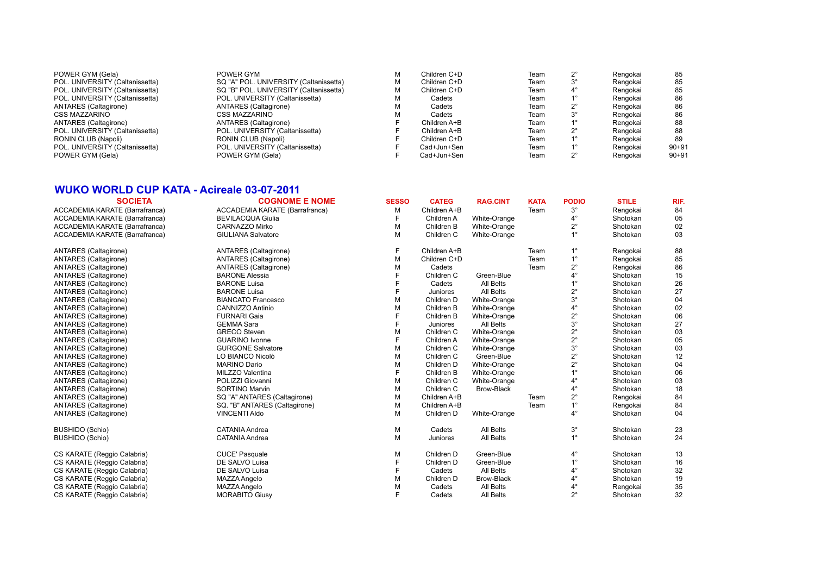| POWER GYM (Gela)                | POWER GYM                              | М | Children C+D | Team | Rengokai | 85        |
|---------------------------------|----------------------------------------|---|--------------|------|----------|-----------|
| POL. UNIVERSITY (Caltanissetta) | SQ "A" POL. UNIVERSITY (Caltanissetta) | м | Children C+D | Team | Rengokai | 85        |
| POL. UNIVERSITY (Caltanissetta) | SQ "B" POL. UNIVERSITY (Caltanissetta) | м | Children C+D | Team | Rengokai | 85        |
| POL. UNIVERSITY (Caltanissetta) | POL. UNIVERSITY (Caltanissetta)        | М | Cadets       | Team | Rengokai | 86        |
| <b>ANTARES (Caltagirone)</b>    | <b>ANTARES</b> (Caltagirone)           | м | Cadets       | Team | Rengokai | 86        |
| CSS MAZZARINO                   | <b>CSS MAZZARINO</b>                   | м | Cadets       | Team | Rengokai | 86        |
| <b>ANTARES (Caltagirone)</b>    | <b>ANTARES</b> (Caltagirone)           |   | Children A+B | Team | Rengokai | 88        |
| POL. UNIVERSITY (Caltanissetta) | POL. UNIVERSITY (Caltanissetta)        |   | Children A+B | Team | Rengokai | 88        |
| RONIN CLUB (Napoli)             | RONIN CLUB (Napoli)                    |   | Children C+D | Team | Rengokai | 89        |
| POL. UNIVERSITY (Caltanissetta) | POL. UNIVERSITY (Caltanissetta)        |   | Cad+Jun+Sen  | Team | Rengokai | $90 + 91$ |
| POWER GYM (Gela)                | POWER GYM (Gela)                       |   | Cad+Jun+Sen  | Team | Rengokai | $90 + 91$ |
|                                 |                                        |   |              |      |          |           |

### **WUKO WORLD CUP KATA - Acireale 03-07-2011**

| <b>SOCIETA</b>                 | <b>COGNOME E NOME</b>          | <b>SESSO</b> | <b>CATEG</b> | <b>RAG.CINT</b>   | <b>KATA</b> | <b>PODIO</b> | <b>STILE</b> | RIF. |
|--------------------------------|--------------------------------|--------------|--------------|-------------------|-------------|--------------|--------------|------|
| ACCADEMIA KARATE (Barrafranca) | ACCADEMIA KARATE (Barrafranca) | M            | Children A+B |                   | Team        | $3^\circ$    | Rengokai     | 84   |
| ACCADEMIA KARATE (Barrafranca) | <b>BEVILACQUA Giulia</b>       | F            | Children A   | White-Orange      |             | $4^\circ$    | Shotokan     | 05   |
| ACCADEMIA KARATE (Barrafranca) | CARNAZZO Mirko                 | M            | Children B   | White-Orange      |             | $2^{\circ}$  | Shotokan     | 02   |
| ACCADEMIA KARATE (Barrafranca) | <b>GIULIANA Salvatore</b>      | M            | Children C   | White-Orange      |             | $1^{\circ}$  | Shotokan     | 03   |
| ANTARES (Caltagirone)          | ANTARES (Caltagirone)          | F            | Children A+B |                   | Team        | $1^{\circ}$  | Rengokai     | 88   |
| ANTARES (Caltagirone)          | <b>ANTARES</b> (Caltagirone)   | M            | Children C+D |                   | Team        | $1^{\circ}$  | Rengokai     | 85   |
| ANTARES (Caltagirone)          | ANTARES (Caltagirone)          | м            | Cadets       |                   | Team        | $2^{\circ}$  | Rengokai     | 86   |
| ANTARES (Caltagirone)          | <b>BARONE Alessia</b>          |              | Children C   | Green-Blue        |             | $4^\circ$    | Shotokan     | 15   |
| ANTARES (Caltagirone)          | <b>BARONE Luisa</b>            |              | Cadets       | All Belts         |             | $1^{\circ}$  | Shotokan     | 26   |
| ANTARES (Caltagirone)          | <b>BARONE Luisa</b>            |              | Juniores     | All Belts         |             | $2^{\circ}$  | Shotokan     | 27   |
| ANTARES (Caltagirone)          | <b>BIANCATO Francesco</b>      | M            | Children D   | White-Orange      |             | $3^\circ$    | Shotokan     | 04   |
| ANTARES (Caltagirone)          | CANNIZZO Antinio               | M            | Children B   | White-Orange      |             | $4^\circ$    | Shotokan     | 02   |
| ANTARES (Caltagirone)          | <b>FURNARI Gaia</b>            |              | Children B   | White-Orange      |             | $2^{\circ}$  | Shotokan     | 06   |
| ANTARES (Caltagirone)          | <b>GEMMA Sara</b>              |              | Juniores     | All Belts         |             | $3^\circ$    | Shotokan     | 27   |
| ANTARES (Caltagirone)          | <b>GRECO</b> Steven            | M            | Children C   | White-Orange      |             | $2^{\circ}$  | Shotokan     | 03   |
| ANTARES (Caltagirone)          | <b>GUARINO Ivonne</b>          |              | Children A   | White-Orange      |             | $2^{\circ}$  | Shotokan     | 05   |
| ANTARES (Caltagirone)          | <b>GURGONE Salvatore</b>       | м            | Children C   | White-Orange      |             | $3^\circ$    | Shotokan     | 03   |
| ANTARES (Caltagirone)          | LO BIANCO Nicolò               | M            | Children C   | Green-Blue        |             | $2^{\circ}$  | Shotokan     | 12   |
| ANTARES (Caltagirone)          | <b>MARINO Dario</b>            | м            | Children D   | White-Orange      |             | $2^{\circ}$  | Shotokan     | 04   |
| ANTARES (Caltagirone)          | MILZZO Valentina               |              | Children B   | White-Orange      |             | $1^{\circ}$  | Shotokan     | 06   |
| ANTARES (Caltagirone)          | POLIZZI Giovanni               | M            | Children C   | White-Orange      |             | $4^\circ$    | Shotokan     | 03   |
| <b>ANTARES</b> (Caltagirone)   | SORTINO Marvin                 | M            | Children C   | Brow-Black        |             | $4^\circ$    | Shotokan     | 18   |
| ANTARES (Caltagirone)          | SQ "A" ANTARES (Caltagirone)   | M            | Children A+B |                   | Team        | $2^{\circ}$  | Rengokai     | 84   |
| <b>ANTARES</b> (Caltagirone)   | SQ. "B" ANTARES (Caltagirone)  | M            | Children A+B |                   | Team        | $1^{\circ}$  | Rengokai     | 84   |
| ANTARES (Caltagirone)          | <b>VINCENTI Aldo</b>           | M            | Children D   | White-Orange      |             | $4^{\circ}$  | Shotokan     | 04   |
| <b>BUSHIDO</b> (Schio)         | <b>CATANIA Andrea</b>          | M            | Cadets       | All Belts         |             | $3^\circ$    | Shotokan     | 23   |
| <b>BUSHIDO (Schio)</b>         | <b>CATANIA Andrea</b>          | M            | Juniores     | All Belts         |             | $1^{\circ}$  | Shotokan     | 24   |
| CS KARATE (Reggio Calabria)    | <b>CUCE' Pasquale</b>          | M            | Children D   | Green-Blue        |             | $4^\circ$    | Shotokan     | 13   |
| CS KARATE (Reggio Calabria)    | DE SALVO Luisa                 |              | Children D   | Green-Blue        |             | $1^{\circ}$  | Shotokan     | 16   |
| CS KARATE (Reggio Calabria)    | DE SALVO Luisa                 |              | Cadets       | All Belts         |             | $4^{\circ}$  | Shotokan     | 32   |
| CS KARATE (Reggio Calabria)    | MAZZA Angelo                   | м            | Children D   | <b>Brow-Black</b> |             | $4^{\circ}$  | Shotokan     | 19   |
| CS KARATE (Reggio Calabria)    | MAZZA Angelo                   | M            | Cadets       | All Belts         |             | $4^{\circ}$  | Rengokai     | 35   |
| CS KARATE (Reggio Calabria)    | <b>MORABITO Giusy</b>          | F            | Cadets       | All Belts         |             | $2^{\circ}$  | Shotokan     | 32   |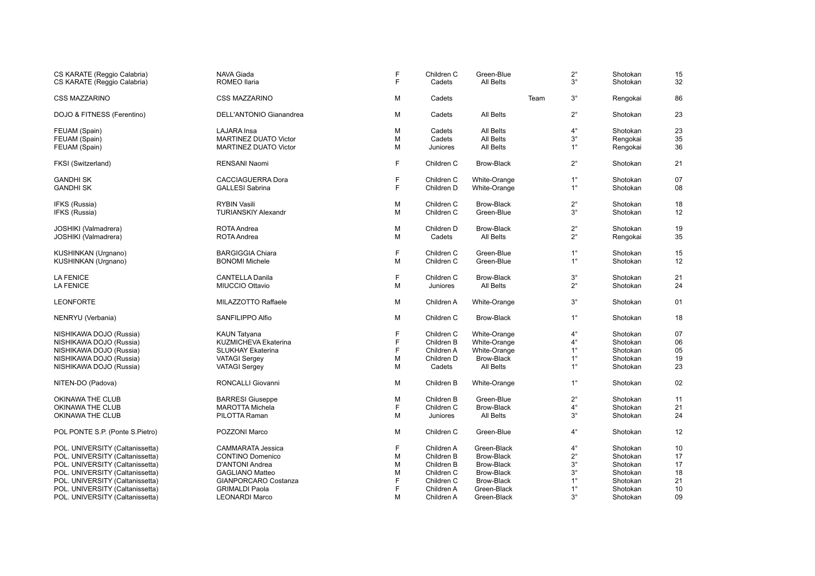| CS KARATE (Reggio Calabria)<br>CS KARATE (Reggio Calabria) | NAVA Giada<br>ROMEO Ilaria     | F<br>F | Children C<br>Cadets | Green-Blue<br>All Belts |      | $2^{\circ}$<br>$3^\circ$ | Shotokan<br>Shotokan | 15<br>32 |
|------------------------------------------------------------|--------------------------------|--------|----------------------|-------------------------|------|--------------------------|----------------------|----------|
|                                                            |                                |        |                      |                         |      |                          |                      |          |
| <b>CSS MAZZARINO</b>                                       | <b>CSS MAZZARINO</b>           | M      | Cadets               |                         | Team | $3^{\circ}$              | Rengokai             | 86       |
| DOJO & FITNESS (Ferentino)                                 | <b>DELL'ANTONIO Gianandrea</b> | M      | Cadets               | All Belts               |      | $2^{\circ}$              | Shotokan             | 23       |
| FEUAM (Spain)                                              | <b>LAJARA Insa</b>             | M      | Cadets               | All Belts               |      | $4^\circ$                | Shotokan             | 23       |
| FEUAM (Spain)                                              | <b>MARTINEZ DUATO Victor</b>   | M      | Cadets               | All Belts               |      | $3^\circ$                | Rengokai             | 35       |
| FEUAM (Spain)                                              | <b>MARTINEZ DUATO Victor</b>   | M      | Juniores             | <b>All Belts</b>        |      | $1^{\circ}$              | Rengokai             | 36       |
| FKSI (Switzerland)                                         | RENSANI Naomi                  | F      | Children C           | <b>Brow-Black</b>       |      | $2^{\circ}$              | Shotokan             | 21       |
| <b>GANDHI SK</b>                                           | <b>CACCIAGUERRA Dora</b>       | F      | Children C           | White-Orange            |      | $1^{\circ}$              | Shotokan             | 07       |
| <b>GANDHI SK</b>                                           | <b>GALLESI Sabrina</b>         | F      | Children D           | White-Orange            |      | $1^{\circ}$              | Shotokan             | 08       |
| IFKS (Russia)                                              | <b>RYBIN Vasili</b>            | M      | Children C           | <b>Brow-Black</b>       |      | $2^{\circ}$              | Shotokan             | 18       |
| IFKS (Russia)                                              | <b>TURIANSKIY Alexandr</b>     | M      | Children C           | Green-Blue              |      | $3^{\circ}$              | Shotokan             | 12       |
| JOSHIKI (Valmadrera)                                       | <b>ROTA Andrea</b>             | М      | Children D           | <b>Brow-Black</b>       |      | $2^{\circ}$              | Shotokan             | 19       |
| JOSHIKI (Valmadrera)                                       | ROTA Andrea                    | M      | Cadets               | <b>All Belts</b>        |      | $2^{\circ}$              | Rengokai             | 35       |
| KUSHINKAN (Urgnano)                                        | <b>BARGIGGIA Chiara</b>        | F      | Children C           | Green-Blue              |      | $1^{\circ}$              | Shotokan             | 15       |
| KUSHINKAN (Urgnano)                                        | <b>BONOMI</b> Michele          | M      | Children C           | Green-Blue              |      | $1^{\circ}$              | Shotokan             | 12       |
| <b>LA FENICE</b>                                           | <b>CANTELLA Danila</b>         | F      | Children C           | <b>Brow-Black</b>       |      | $3^{\circ}$              | Shotokan             | 21       |
| <b>LA FENICE</b>                                           | MIUCCIO Ottavio                | M      | Juniores             | <b>All Belts</b>        |      | $2^{\circ}$              | Shotokan             | 24       |
| <b>LEONFORTE</b>                                           | MILAZZOTTO Raffaele            | M      | Children A           | White-Orange            |      | $3^{\circ}$              | Shotokan             | 01       |
| NENRYU (Verbania)                                          | SANFILIPPO Alfio               | M      | Children C           | Brow-Black              |      | $1^{\circ}$              | Shotokan             | 18       |
| NISHIKAWA DOJO (Russia)                                    | <b>KAUN Tatyana</b>            | F      | Children C           | White-Orange            |      | $4^{\circ}$              | Shotokan             | 07       |
| NISHIKAWA DOJO (Russia)                                    | <b>KUZMICHEVA Ekaterina</b>    | F      | Children B           | White-Orange            |      | $4^{\circ}$              | Shotokan             | 06       |
| NISHIKAWA DOJO (Russia)                                    | <b>SLUKHAY Ekaterina</b>       | F      | Children A           | White-Orange            |      | $1^{\circ}$              | Shotokan             | 05       |
| NISHIKAWA DOJO (Russia)                                    | <b>VATAGI Sergey</b>           | M      | Children D           | <b>Brow-Black</b>       |      | $1^{\circ}$              | Shotokan             | 19       |
| NISHIKAWA DOJO (Russia)                                    | <b>VATAGI Sergey</b>           | M      | Cadets               | <b>All Belts</b>        |      | $1^{\circ}$              | Shotokan             | 23       |
| NITEN-DO (Padova)                                          | RONCALLI Giovanni              | M      | Children B           | <b>White-Orange</b>     |      | $1^{\circ}$              | Shotokan             | 02       |
| OKINAWA THE CLUB                                           | <b>BARRESI</b> Giuseppe        | M      | Children B           | Green-Blue              |      | $2^{\circ}$              | Shotokan             | 11       |
| OKINAWA THE CLUB                                           | <b>MAROTTA Michela</b>         | F      | Children C           | <b>Brow-Black</b>       |      | $4^{\circ}$              | Shotokan             | 21       |
| OKINAWA THE CLUB                                           | PILOTTA Raman                  | M      | Juniores             | All Belts               |      | $3^\circ$                | Shotokan             | 24       |
| POL PONTE S.P. (Ponte S.Pietro)                            | POZZONI Marco                  | M      | Children C           | Green-Blue              |      | $4^\circ$                | Shotokan             | 12       |
| POL. UNIVERSITY (Caltanissetta)                            | <b>CAMMARATA Jessica</b>       | F      | Children A           | Green-Black             |      | $4^{\circ}$              | Shotokan             | 10       |
| POL. UNIVERSITY (Caltanissetta)                            | <b>CONTINO Domenico</b>        | M      | Children B           | Brow-Black              |      | $2^{\circ}$              | Shotokan             | 17       |
| POL. UNIVERSITY (Caltanissetta)                            | D'ANTONI Andrea                | M      | Children B           | <b>Brow-Black</b>       |      | $3^\circ$                | Shotokan             | 17       |
| POL. UNIVERSITY (Caltanissetta)                            | <b>GAGLIANO Matteo</b>         | M      | Children C           | <b>Brow-Black</b>       |      | $3^{\circ}$              | Shotokan             | 18       |
| POL. UNIVERSITY (Caltanissetta)                            | GIANPORCARO Costanza           | F      | Children C           | Brow-Black              |      | $1^{\circ}$              | Shotokan             | 21       |
| POL. UNIVERSITY (Caltanissetta)                            | <b>GRIMALDI Paola</b>          | F      | Children A           | Green-Black             |      | $1^{\circ}$              | Shotokan             | 10       |
| POL. UNIVERSITY (Caltanissetta)                            | <b>LEONARDI Marco</b>          | M      | Children A           | Green-Black             |      | $3^\circ$                | Shotokan             | 09       |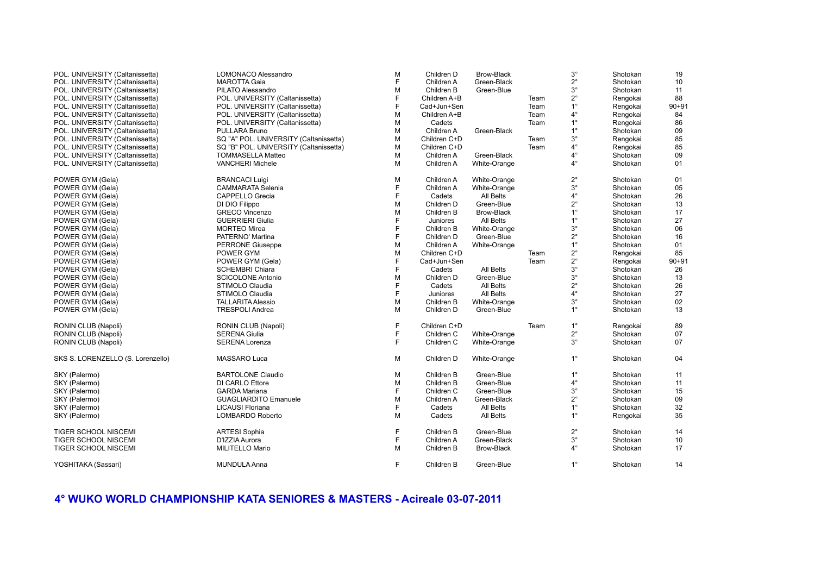# **4° WUKO WORLD CHAMPIONSHIP KATA SENIORES & MASTERS - Acireale 03-07-2011**

| POL. UNIVERSITY (Caltanissetta)   | LOMONACO Alessandro                    | M | Children D   | Brow-Black        |      | $3^{\circ}$ | Shotokan | 19        |
|-----------------------------------|----------------------------------------|---|--------------|-------------------|------|-------------|----------|-----------|
| POL. UNIVERSITY (Caltanissetta)   | <b>MAROTTA Gaia</b>                    | E | Children A   | Green-Black       |      | $2^{\circ}$ | Shotokan | 10        |
| POL. UNIVERSITY (Caltanissetta)   | PILATO Alessandro                      | M | Children B   | Green-Blue        |      | $3^{\circ}$ | Shotokan | 11        |
| POL. UNIVERSITY (Caltanissetta)   | POL. UNIVERSITY (Caltanissetta)        | F | Children A+B |                   | Team | $2^{\circ}$ | Rengokai | 88        |
| POL. UNIVERSITY (Caltanissetta)   | POL. UNIVERSITY (Caltanissetta)        | F | Cad+Jun+Sen  |                   | Team | $1^{\circ}$ | Rengokai | $90 + 91$ |
| POL. UNIVERSITY (Caltanissetta)   | POL. UNIVERSITY (Caltanissetta)        | M | Children A+B |                   | Team | $4^{\circ}$ | Rengokai | 84        |
| POL. UNIVERSITY (Caltanissetta)   | POL. UNIVERSITY (Caltanissetta)        | M | Cadets       |                   | Team | $1^{\circ}$ | Rengokai | 86        |
| POL. UNIVERSITY (Caltanissetta)   | PULLARA Bruno                          | M | Children A   | Green-Black       |      | $1^{\circ}$ | Shotokan | 09        |
| POL. UNIVERSITY (Caltanissetta)   | SQ "A" POL. UNIVERSITY (Caltanissetta) | M | Children C+D |                   | Team | $3^{\circ}$ | Rengokai | 85        |
| POL. UNIVERSITY (Caltanissetta)   | SQ "B" POL. UNIVERSITY (Caltanissetta) | M | Children C+D |                   | Team | $4^\circ$   | Rengokai | 85        |
| POL. UNIVERSITY (Caltanissetta)   | <b>TOMMASELLA Matteo</b>               | M | Children A   | Green-Black       |      | $4^\circ$   | Shotokan | 09        |
| POL. UNIVERSITY (Caltanissetta)   | <b>VANCHERI Michele</b>                | M | Children A   | White-Orange      |      | $4^{\circ}$ | Shotokan | 01        |
| POWER GYM (Gela)                  | <b>BRANCACI Luigi</b>                  | М | Children A   | White-Orange      |      | $2^{\circ}$ | Shotokan | 01        |
| POWER GYM (Gela)                  | <b>CAMMARATA Selenia</b>               | F | Children A   | White-Orange      |      | $3^{\circ}$ | Shotokan | 05        |
| POWER GYM (Gela)                  | <b>CAPPELLO Grecia</b>                 | F | Cadets       | All Belts         |      | $4^{\circ}$ | Shotokan | 26        |
| POWER GYM (Gela)                  | DI DIO Filippo                         | M | Children D   | Green-Blue        |      | $2^{\circ}$ | Shotokan | 13        |
| POWER GYM (Gela)                  | <b>GRECO Vincenzo</b>                  | M | Children B   | <b>Brow-Black</b> |      | $1^{\circ}$ | Shotokan | 17        |
| POWER GYM (Gela)                  | <b>GUERRIERI Giulia</b>                | F | Juniores     | All Belts         |      | $1^{\circ}$ | Shotokan | 27        |
| POWER GYM (Gela)                  | <b>MORTEO Mirea</b>                    | F | Children B   | White-Orange      |      | $3^{\circ}$ | Shotokan | 06        |
| POWER GYM (Gela)                  | PATERNO' Martina                       | F | Children D   | Green-Blue        |      | $2^{\circ}$ | Shotokan | 16        |
| POWER GYM (Gela)                  | <b>PERRONE Giuseppe</b>                | M | Children A   | White-Orange      |      | $1^{\circ}$ | Shotokan | 01        |
| POWER GYM (Gela)                  | POWER GYM                              | M | Children C+D |                   | Team | $2^{\circ}$ | Rengokai | 85        |
| POWER GYM (Gela)                  | POWER GYM (Gela)                       | F | Cad+Jun+Sen  |                   | Team | $2^{\circ}$ | Rengokai | $90 + 91$ |
| POWER GYM (Gela)                  | <b>SCHEMBRI Chiara</b>                 | F | Cadets       | All Belts         |      | $3^\circ$   | Shotokan | 26        |
| POWER GYM (Gela)                  | <b>SCICOLONE Antonio</b>               | M | Children D   | Green-Blue        |      | $3^{\circ}$ | Shotokan | 13        |
| POWER GYM (Gela)                  | STIMOLO Claudia                        | F | Cadets       | All Belts         |      | $2^{\circ}$ | Shotokan | 26        |
| POWER GYM (Gela)                  | STIMOLO Claudia                        | F | Juniores     | All Belts         |      | $4^{\circ}$ | Shotokan | 27        |
| POWER GYM (Gela)                  | <b>TALLARITA Alessio</b>               | M | Children B   | White-Orange      |      | $3^{\circ}$ | Shotokan | 02        |
| POWER GYM (Gela)                  | <b>TRESPOLI Andrea</b>                 | M | Children D   | Green-Blue        |      | $1^{\circ}$ | Shotokan | 13        |
| RONIN CLUB (Napoli)               | RONIN CLUB (Napoli)                    | F | Children C+D |                   | Team | $1^{\circ}$ | Rengokai | 89        |
| RONIN CLUB (Napoli)               | <b>SERENA Giulia</b>                   | F | Children C   | White-Orange      |      | $2^{\circ}$ | Shotokan | 07        |
| RONIN CLUB (Napoli)               | <b>SERENA Lorenza</b>                  | F | Children C   | White-Orange      |      | $3^{\circ}$ | Shotokan | 07        |
| SKS S. LORENZELLO (S. Lorenzello) | MASSARO Luca                           | м | Children D   | White-Orange      |      | $1^{\circ}$ | Shotokan | 04        |
| SKY (Palermo)                     | <b>BARTOLONE Claudio</b>               | М | Children B   | Green-Blue        |      | $1^{\circ}$ | Shotokan | 11        |
| SKY (Palermo)                     | DI CARLO Ettore                        | M | Children B   | Green-Blue        |      | $4^{\circ}$ | Shotokan | 11        |
| SKY (Palermo)                     | <b>GARDA Mariana</b>                   | F | Children C   | Green-Blue        |      | $3^{\circ}$ | Shotokan | 15        |
| SKY (Palermo)                     | <b>GUAGLIARDITO Emanuele</b>           | M | Children A   | Green-Black       |      | $2^{\circ}$ | Shotokan | 09        |
| SKY (Palermo)                     | <b>LICAUSI Floriana</b>                | F | Cadets       | All Belts         |      | $1^{\circ}$ | Shotokan | 32        |
| SKY (Palermo)                     | LOMBARDO Roberto                       | M | Cadets       | All Belts         |      | $1^{\circ}$ | Rengokai | 35        |
| <b>TIGER SCHOOL NISCEMI</b>       | <b>ARTESI Sophia</b>                   | F | Children B   | Green-Blue        |      | $2^{\circ}$ | Shotokan | 14        |
| <b>TIGER SCHOOL NISCEMI</b>       | D'IZZIA Aurora                         | F | Children A   | Green-Black       |      | $3^{\circ}$ | Shotokan | 10        |
| <b>TIGER SCHOOL NISCEMI</b>       | MILITELLO Mario                        | M | Children B   | <b>Brow-Black</b> |      | $4^\circ$   | Shotokan | 17        |
| YOSHITAKA (Sassari)               | <b>MUNDULA Anna</b>                    | F | Children B   | Green-Blue        |      | $1^{\circ}$ | Shotokan | 14        |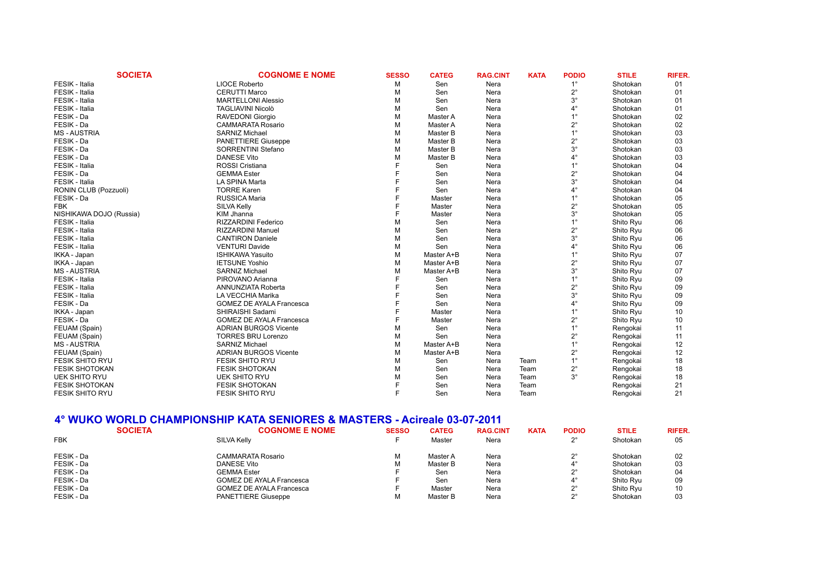| <b>SOCIETA</b>          | <b>COGNOME E NOME</b>           | <b>SESSO</b> | <b>CATEG</b> | <b>RAG.CINT</b> | <b>KATA</b> | <b>PODIO</b> | <b>STILE</b> | <b>RIFER.</b> |
|-------------------------|---------------------------------|--------------|--------------|-----------------|-------------|--------------|--------------|---------------|
| FESIK - Italia          | <b>LIOCE Roberto</b>            | м            | Sen          | Nera            |             | $1^{\circ}$  | Shotokan     | 01            |
| FESIK - Italia          | <b>CERUTTI Marco</b>            | М            | Sen          | Nera            |             | $2^{\circ}$  | Shotokan     | 01            |
| FESIK - Italia          | <b>MARTELLONI Alessio</b>       | М            | Sen          | Nera            |             | $3^\circ$    | Shotokan     | 01            |
| FESIK - Italia          | <b>TAGLIAVINI Nicolò</b>        | М            | Sen          | Nera            |             | $4^{\circ}$  | Shotokan     | 01            |
| FESIK - Da              | <b>RAVEDONI Giorgio</b>         | М            | Master A     | Nera            |             | $1^{\circ}$  | Shotokan     | 02            |
| FESIK - Da              | <b>CAMMARATA Rosario</b>        | М            | Master A     | Nera            |             | $2^{\circ}$  | Shotokan     | 02            |
| <b>MS-AUSTRIA</b>       | <b>SARNIZ Michael</b>           | М            | Master B     | Nera            |             | $1^{\circ}$  | Shotokan     | 03            |
| FESIK - Da              | <b>PANETTIERE Giuseppe</b>      | М            | Master B     | Nera            |             | $2^{\circ}$  | Shotokan     | 03            |
| FESIK - Da              | <b>SORRENTINI Stefano</b>       | М            | Master B     | Nera            |             | $3^\circ$    | Shotokan     | 03            |
| FESIK - Da              | <b>DANESE Vito</b>              |              | Master B     | Nera            |             | $4^\circ$    | Shotokan     | 03            |
| FESIK - Italia          | <b>ROSSI Cristiana</b>          |              | Sen          | Nera            |             | $1^{\circ}$  | Shotokan     | 04            |
| FESIK - Da              | <b>GEMMA Ester</b>              |              | Sen          | Nera            |             | $2^{\circ}$  | Shotokan     | 04            |
| FESIK - Italia          | LA SPINA Marta                  |              | Sen          | Nera            |             | $3^\circ$    | Shotokan     | 04            |
| RONIN CLUB (Pozzuoli)   | <b>TORRE Karen</b>              |              | Sen          | Nera            |             | $4^\circ$    | Shotokan     | 04            |
| FESIK - Da              | RUSSICA Maria                   |              | Master       | Nera            |             | $1^{\circ}$  | Shotokan     | 05            |
| <b>FBK</b>              | SILVA Kelly                     |              | Master       | Nera            |             | $2^{\circ}$  | Shotokan     | 05            |
| NISHIKAWA DOJO (Russia) | KIM Jhanna                      |              | Master       | Nera            |             | $3^\circ$    | Shotokan     | 05            |
| FESIK - Italia          | <b>RIZZARDINI Federico</b>      | м            | Sen          | Nera            |             | $1^{\circ}$  | Shito Ryu    | 06            |
| FESIK - Italia          | <b>RIZZARDINI Manuel</b>        | м            | Sen          | Nera            |             | $2^{\circ}$  | Shito Ryu    | 06            |
| FESIK - Italia          | <b>CANTIRON Daniele</b>         | М            | Sen          | Nera            |             | $3^\circ$    | Shito Ryu    | 06            |
| FESIK - Italia          | <b>VENTURI Davide</b>           | М            | Sen          | Nera            |             | $4^\circ$    | Shito Ryu    | 06            |
| IKKA - Japan            | <b>ISHIKAWA Yasuito</b>         | М            | Master A+B   | Nera            |             | $1^{\circ}$  | Shito Ryu    | 07            |
| IKKA - Japan            | <b>IETSUNE Yoshio</b>           | М            | Master A+B   | Nera            |             | $2^{\circ}$  | Shito Ryu    | 07            |
| <b>MS-AUSTRIA</b>       | <b>SARNIZ Michael</b>           | м            | Master A+B   | Nera            |             | $3^\circ$    | Shito Ryu    | 07            |
| FESIK - Italia          | PIROVANO Arianna                |              | Sen          | Nera            |             | $1^{\circ}$  | Shito Ryu    | 09            |
| FESIK - Italia          | ANNUNZIATA Roberta              |              | Sen          | Nera            |             | $2^{\circ}$  | Shito Ryu    | 09            |
| FESIK - Italia          | LA VECCHIA Marika               |              | Sen          | Nera            |             | $3^\circ$    | Shito Ryu    | 09            |
| FESIK - Da              | <b>GOMEZ DE AYALA Francesca</b> |              | Sen          | Nera            |             | $4^\circ$    | Shito Ryu    | 09            |
| IKKA - Japan            | SHIRAISHI Sadami                |              | Master       | Nera            |             | $1^{\circ}$  | Shito Ryu    | 10            |
| FESIK - Da              | <b>GOMEZ DE AYALA Francesca</b> |              | Master       | Nera            |             | $2^{\circ}$  | Shito Ryu    | 10            |
| FEUAM (Spain)           | <b>ADRIAN BURGOS Vicente</b>    | М            | Sen          | Nera            |             | $1^{\circ}$  | Rengokai     | 11            |
| FEUAM (Spain)           | <b>TORRES BRU Lorenzo</b>       | М            | Sen          | Nera            |             | $2^{\circ}$  | Rengokai     | 11            |
| <b>MS-AUSTRIA</b>       | <b>SARNIZ Michael</b>           | М            | Master A+B   | Nera            |             | $1^{\circ}$  | Rengokai     | 12            |
| FEUAM (Spain)           | <b>ADRIAN BURGOS Vicente</b>    | М            | Master A+B   | Nera            |             | $2^{\circ}$  | Rengokai     | 12            |
| <b>FESIK SHITO RYU</b>  | <b>FESIK SHITO RYU</b>          | М            | Sen          | Nera            | Team        | $1^{\circ}$  | Rengokai     | 18            |
| <b>FESIK SHOTOKAN</b>   | <b>FESIK SHOTOKAN</b>           | м            | Sen          | Nera            | Team        | $2^{\circ}$  | Rengokai     | 18            |
| <b>UEK SHITO RYU</b>    | <b>UEK SHITO RYU</b>            | м            | Sen          | Nera            | Team        | $3^\circ$    | Rengokai     | 18            |
| <b>FESIK SHOTOKAN</b>   | <b>FESIK SHOTOKAN</b>           |              | Sen          | Nera            | Team        |              | Rengokai     | 21            |
| <b>FESIK SHITO RYU</b>  | <b>FESIK SHITO RYU</b>          |              | Sen          | Nera            | Team        |              | Rengokai     | 21            |

### **4° WUKO WORLD CHAMPIONSHIP KATA SENIORES & MASTERS - Acireale 03-07-2011**

|            | <b>SOCIETA</b> | <b>COGNOME E NOME</b>           | <b>SESSO</b> | <b>CATEG</b> | <b>RAG.CINT</b> | <b>KATA</b> | <b>PODIO</b> | <b>STILE</b> | <b>RIFER.</b> |
|------------|----------------|---------------------------------|--------------|--------------|-----------------|-------------|--------------|--------------|---------------|
| <b>FBK</b> |                | SILVA Kelly                     |              | Master       | Nera            |             | no           | Shotokan     | 05            |
| FESIK - Da |                | CAMMARATA Rosario               |              | Master A     | Nera            |             |              | Shotokan     | 02            |
| FESIK - Da |                | <b>DANESE Vito</b>              |              | Master B     | Nera            |             |              | Shotokan     | 03            |
| FESIK - Da |                | <b>GEMMA Ester</b>              |              | Sen          | Nera            |             |              | Shotokan     | 04            |
| FESIK - Da |                | <b>GOMEZ DE AYALA Francesca</b> |              | Sen          | Nera            |             |              | Shito Ryu    | 09            |
| FESIK - Da |                | <b>GOMEZ DE AYALA Francesca</b> |              | Master       | Nera            |             |              | Shito Ryu    | 10            |
| FESIK - Da |                | <b>PANETTIERE Giuseppe</b>      |              | Master B     | Nera            |             | no           | Shotokan     | 03            |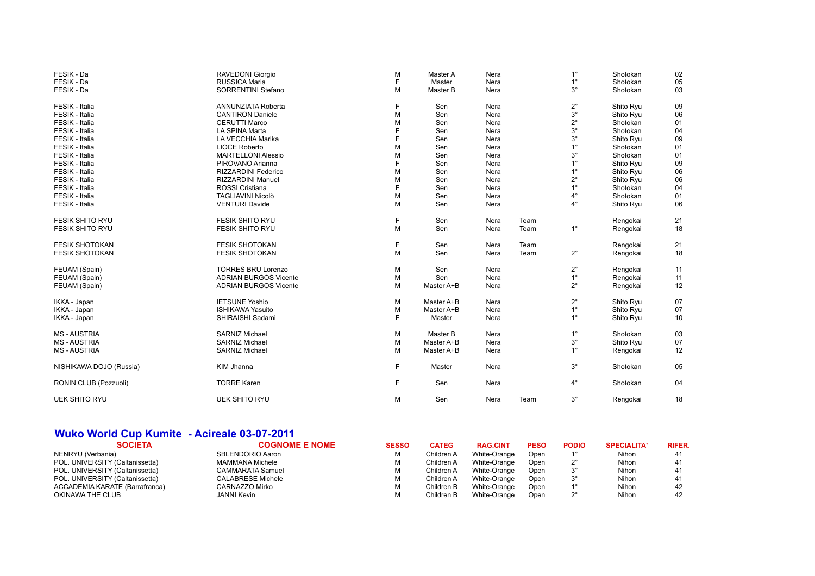| FESIK - Da              | RAVEDONI Giorgio             | M | Master A   | Nera |      | $1^{\circ}$ | Shotokan  | 02 |
|-------------------------|------------------------------|---|------------|------|------|-------------|-----------|----|
| FESIK - Da              | RUSSICA Maria                | E | Master     | Nera |      | $1^{\circ}$ | Shotokan  | 05 |
| FESIK - Da              | <b>SORRENTINI Stefano</b>    | M | Master B   | Nera |      | $3^\circ$   | Shotokan  | 03 |
| FESIK - Italia          | ANNUNZIATA Roberta           | F | Sen        | Nera |      | $2^{\circ}$ | Shito Ryu | 09 |
| FESIK - Italia          | <b>CANTIRON Daniele</b>      | M | Sen        | Nera |      | $3^\circ$   | Shito Ryu | 06 |
| FESIK - Italia          | <b>CERUTTI Marco</b>         | М | Sen        | Nera |      | $2^{\circ}$ | Shotokan  | 01 |
| FESIK - Italia          | LA SPINA Marta               |   | Sen        | Nera |      | $3^\circ$   | Shotokan  | 04 |
| FESIK - Italia          | LA VECCHIA Marika            | F | Sen        | Nera |      | $3^\circ$   | Shito Ryu | 09 |
| FESIK - Italia          | <b>LIOCE Roberto</b>         | M | Sen        | Nera |      | $1^{\circ}$ | Shotokan  | 01 |
| FESIK - Italia          | <b>MARTELLONI Alessio</b>    | M | Sen        | Nera |      | $3^\circ$   | Shotokan  | 01 |
| FESIK - Italia          | PIROVANO Arianna             | E | Sen        | Nera |      | $1^{\circ}$ | Shito Ryu | 09 |
| FESIK - Italia          | RIZZARDINI Federico          | М | Sen        | Nera |      | $1^{\circ}$ | Shito Ryu | 06 |
| FESIK - Italia          | RIZZARDINI Manuel            | М | Sen        | Nera |      | $2^{\circ}$ | Shito Ryu | 06 |
| FESIK - Italia          | <b>ROSSI Cristiana</b>       |   | Sen        | Nera |      | $1^{\circ}$ | Shotokan  | 04 |
| FESIK - Italia          | TAGLIAVINI Nicolò            | M | Sen        | Nera |      | 4°          | Shotokan  | 01 |
| FESIK - Italia          | <b>VENTURI Davide</b>        | M | Sen        | Nera |      | $4^{\circ}$ | Shito Ryu | 06 |
| <b>FESIK SHITO RYU</b>  | <b>FESIK SHITO RYU</b>       | F | Sen        | Nera | Team |             | Rengokai  | 21 |
| <b>FESIK SHITO RYU</b>  | <b>FESIK SHITO RYU</b>       | M | Sen        | Nera | Team | $1^{\circ}$ | Rengokai  | 18 |
| <b>FESIK SHOTOKAN</b>   | <b>FESIK SHOTOKAN</b>        | F | Sen        | Nera | Team |             | Rengokai  | 21 |
| <b>FESIK SHOTOKAN</b>   | <b>FESIK SHOTOKAN</b>        | M | Sen        | Nera | Team | $2^{\circ}$ | Rengokai  | 18 |
| FEUAM (Spain)           | <b>TORRES BRU Lorenzo</b>    | М | Sen        | Nera |      | $2^{\circ}$ | Rengokai  | 11 |
| FEUAM (Spain)           | <b>ADRIAN BURGOS Vicente</b> | M | Sen        | Nera |      | $1^{\circ}$ | Rengokai  | 11 |
| FEUAM (Spain)           | <b>ADRIAN BURGOS Vicente</b> | M | Master A+B | Nera |      | $2^{\circ}$ | Rengokai  | 12 |
| IKKA - Japan            | <b>IETSUNE Yoshio</b>        | M | Master A+B | Nera |      | $2^{\circ}$ | Shito Ryu | 07 |
| IKKA - Japan            | <b>ISHIKAWA Yasuito</b>      | M | Master A+B | Nera |      | $1^{\circ}$ | Shito Ryu | 07 |
| IKKA - Japan            | SHIRAISHI Sadami             | F | Master     | Nera |      | $1^{\circ}$ | Shito Ryu | 10 |
| <b>MS-AUSTRIA</b>       | <b>SARNIZ Michael</b>        | M | Master B   | Nera |      | $1^{\circ}$ | Shotokan  | 03 |
| <b>MS-AUSTRIA</b>       | <b>SARNIZ Michael</b>        | M | Master A+B | Nera |      | $3^\circ$   | Shito Ryu | 07 |
| <b>MS-AUSTRIA</b>       | <b>SARNIZ Michael</b>        | M | Master A+B | Nera |      | $1^{\circ}$ | Rengokai  | 12 |
| NISHIKAWA DOJO (Russia) | <b>KIM Jhanna</b>            | F | Master     | Nera |      | $3^\circ$   | Shotokan  | 05 |
| RONIN CLUB (Pozzuoli)   | <b>TORRE Karen</b>           | F | Sen        | Nera |      | $4^{\circ}$ | Shotokan  | 04 |
| <b>UEK SHITO RYU</b>    | <b>UEK SHITO RYU</b>         | M | Sen        | Nera | Team | $3^\circ$   | Rengokai  | 18 |

## **Wuko World Cup Kumite - Acireale 03-07-2011**

| <b>COGNOME E NOME</b>    | <b>SESSO</b> | <b>CATEG</b> | <b>RAG.CINT</b> | <b>PESO</b> | <b>PODIO</b> | <b>SPECIALITA'</b> | <b>RIFER.</b> |
|--------------------------|--------------|--------------|-----------------|-------------|--------------|--------------------|---------------|
| SBLENDORIO Aaron         |              | Children A   | White-Orange    | Open        |              | Nihon              |               |
| MAMMANA Michele          |              | Children A   | White-Orange    | Open        |              | Nihon              |               |
| CAMMARATA Samuel         |              | Children A   | White-Orange    | Open        | $3^\circ$    | Nihon              |               |
| <b>CALABRESE Michele</b> |              | Children A   | White-Orange    | Open        |              | Nihon              |               |
| CARNAZZO Mirko           |              | Children B   | White-Orange    | Open        |              | Nihon              | 42            |
| JANNI Kevin              |              | Children B   | White-Orange    | Open        |              | Nihon              | 42            |
|                          |              |              |                 |             |              |                    |               |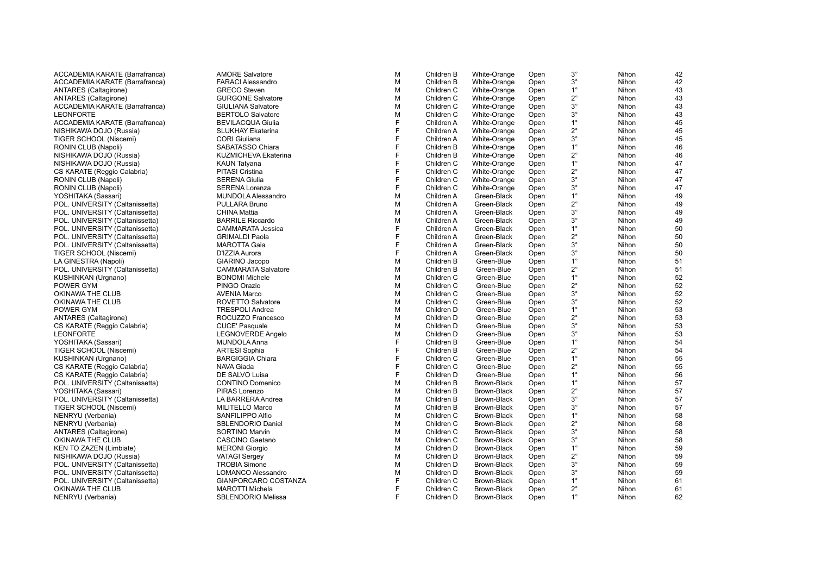| ACCADEMIA KARATE (Barrafranca)  | <b>AMORE Salvatore</b>      |
|---------------------------------|-----------------------------|
| ACCADEMIA KARATE (Barrafranca)  | <b>FARACI Alessandro</b>    |
| ANTARES (Caltagirone)           | <b>GRECO Steven</b>         |
| ANTARES (Caltagirone)           | <b>GURGONE Salvatore</b>    |
| ACCADEMIA KARATE (Barrafranca)  | <b>GIULIANA Salvatore</b>   |
| <b>LEONFORTE</b>                | <b>BERTOLO Salvatore</b>    |
| ACCADEMIA KARATE (Barrafranca)  | <b>BEVILACQUA Giulia</b>    |
| NISHIKAWA DOJO (Russia)         | <b>SLUKHAY Ekaterina</b>    |
| TIGER SCHOOL (Niscemi)          | <b>CORI</b> Giuliana        |
| RONIN CLUB (Napoli)             | SABATASSO Chiara            |
| NISHIKAWA DOJO (Russia)         | <b>KUZMICHEVA Ekaterina</b> |
| NISHIKAWA DOJO (Russia)         | KAUN Tatyana                |
| CS KARATE (Reggio Calabria)     | <b>PITASI Cristina</b>      |
| RONIN CLUB (Napoli)             | <b>SERENA Giulia</b>        |
| RONIN CLUB (Napoli)             | <b>SERENA Lorenza</b>       |
| YOSHITAKA (Sassari)             | <b>MUNDOLA Alessandro</b>   |
| POL. UNIVERSITY (Caltanissetta) | PULLARA Bruno               |
| POL. UNIVERSITY (Caltanissetta) | <b>CHINA Mattia</b>         |
|                                 | <b>BARRILE Riccardo</b>     |
| POL. UNIVERSITY (Caltanissetta) |                             |
| POL. UNIVERSITY (Caltanissetta) | <b>CAMMARATA Jessica</b>    |
| POL. UNIVERSITY (Caltanissetta) | <b>GRIMALDI Paola</b>       |
| POL. UNIVERSITY (Caltanissetta) | <b>MAROTTA Gaia</b>         |
| TIGER SCHOOL (Niscemi)          | D'IZZIA Aurora              |
| LA GINESTRA (Napoli)            | GIARINO Jacopo              |
| POL. UNIVERSITY (Caltanissetta) | <b>CAMMARATA Salvatore</b>  |
| KUSHINKAN (Urgnano)             | <b>BONOMI Michele</b>       |
| POWER GYM                       | PINGO Orazio                |
| OKINAWA THE CLUB                | <b>AVENIA Marco</b>         |
| OKINAWA THE CLUB                | ROVETTO Salvatore           |
| POWER GYM                       | <b>TRESPOLI Andrea</b>      |
| <b>ANTARES</b> (Caltagirone)    | ROCUZZO Francesco           |
| CS KARATE (Reggio Calabria)     | <b>CUCE' Pasquale</b>       |
| <b>LEONFORTE</b>                | <b>LEGNOVERDE Angelo</b>    |
| YOSHITAKA (Sassari)             | MUNDOLA Anna                |
| TIGER SCHOOL (Niscemi)          | <b>ARTESI Sophia</b>        |
| KUSHINKAN (Urgnano)             | <b>BARGIGGIA Chiara</b>     |
| CS KARATE (Reggio Calabria)     | NAVA Giada                  |
| CS KARATE (Reggio Calabria)     | DE SALVO Luisa              |
| POL. UNIVERSITY (Caltanissetta) | <b>CONTINO Domenico</b>     |
| YOSHITAKA (Sassari)             | PIRAS Lorenzo               |
| POL. UNIVERSITY (Caltanissetta) | LA BARRERA Andrea           |
| TIGER SCHOOL (Niscemi)          | <b>MILITELLO Marco</b>      |
| NENRYU (Verbania)               | SANFILIPPO Alfio            |
| NENRYU (Verbania)               | <b>SBLENDORIO Daniel</b>    |
| ANTARES (Caltagirone)           | <b>SORTINO Marvin</b>       |
| OKINAWA THE CLUB                | <b>CASCINO Gaetano</b>      |
| KEN TO ZAZEN (Limbiate)         | <b>MERONI Giorgio</b>       |
| NISHIKAWA DOJO (Russia)         | <b>VATAGI Sergey</b>        |
| POL. UNIVERSITY (Caltanissetta) | <b>TROBIA Simone</b>        |
| POL. UNIVERSITY (Caltanissetta) | LOMANCO Alessandro          |
| POL. UNIVERSITY (Caltanissetta) | GIANPORCARO COSTANZA        |
| OKINAWA THE CLUB                | <b>MAROTTI Michela</b>      |
| NENRYU (Verbania)               | <b>SBLENDORIO Melissa</b>   |
|                                 |                             |

| <b>AMORE Salvatore</b>     | M | Children B | White-Orange | Open | $3^\circ$   | Nihon | 42 |
|----------------------------|---|------------|--------------|------|-------------|-------|----|
| <b>FARACI Alessandro</b>   | M | Children B | White-Orange | Open | $3^{\circ}$ | Nihon | 42 |
| <b>GRECO</b> Steven        | M | Children C | White-Orange | Open | $1^{\circ}$ | Nihon | 43 |
| <b>GURGONE Salvatore</b>   | M | Children C | White-Orange | Open | $2^{\circ}$ | Nihon | 43 |
| <b>GIULIANA Salvatore</b>  | M | Children C | White-Orange | Open | $3^\circ$   | Nihon | 43 |
| <b>BERTOLO Salvatore</b>   | M | Children C | White-Orange | Open | $3^\circ$   | Nihon | 43 |
| <b>BEVILACQUA Giulia</b>   | F | Children A | White-Orange | Open | $1^{\circ}$ | Nihon | 45 |
| <b>SLUKHAY Ekaterina</b>   | F | Children A | White-Orange | Open | $2^{\circ}$ | Nihon | 45 |
| <b>CORI</b> Giuliana       | F | Children A | White-Orange | Open | $3^\circ$   | Nihon | 45 |
| SABATASSO Chiara           | F | Children B | White-Orange | Open | $1^{\circ}$ | Nihon | 46 |
| KUZMICHEVA Ekaterina       | F | Children B | White-Orange | Open | $2^{\circ}$ | Nihon | 46 |
| <b>KAUN Tatyana</b>        | F | Children C | White-Orange | Open | $1^{\circ}$ | Nihon | 47 |
| <b>PITASI Cristina</b>     | F | Children C | White-Orange | Open | $2^{\circ}$ | Nihon | 47 |
| <b>SERENA Giulia</b>       | F | Children C | White-Orange | Open | $3^\circ$   | Nihon | 47 |
| SERENA Lorenza             | F | Children C | White-Orange | Open | $3^\circ$   | Nihon | 47 |
| <b>MUNDOLA Alessandro</b>  | M | Children A | Green-Black  | Open | $1^{\circ}$ | Nihon | 49 |
| PULLARA Bruno              | M | Children A | Green-Black  | Open | $2^{\circ}$ | Nihon | 49 |
| <b>CHINA Mattia</b>        | M | Children A | Green-Black  | Open | $3^\circ$   | Nihon | 49 |
| <b>BARRILE Riccardo</b>    | M | Children A | Green-Black  | Open | $3^\circ$   | Nihon | 49 |
| <b>CAMMARATA Jessica</b>   | F | Children A | Green-Black  | Open | $1^{\circ}$ | Nihon | 50 |
| <b>GRIMALDI Paola</b>      | F | Children A | Green-Black  | Open | $2^{\circ}$ | Nihon | 50 |
| <b>MAROTTA Gaia</b>        | F | Children A | Green-Black  | Open | $3^\circ$   | Nihon | 50 |
| D'IZZIA Aurora             | F | Children A | Green-Black  | Open | $3^\circ$   | Nihon | 50 |
| GIARINO Jacopo             | М | Children B | Green-Blue   | Open | $1^{\circ}$ | Nihon | 51 |
| <b>CAMMARATA Salvatore</b> | М | Children B | Green-Blue   | Open | $2^{\circ}$ | Nihon | 51 |
| <b>BONOMI Michele</b>      | M | Children C | Green-Blue   | Open | $1^{\circ}$ | Nihon | 52 |
| PINGO Orazio               | М | Children C | Green-Blue   | Open | $2^{\circ}$ | Nihon | 52 |
| <b>AVENIA Marco</b>        | М | Children C | Green-Blue   | Open | $3^\circ$   | Nihon | 52 |
| <b>ROVETTO Salvatore</b>   | М | Children C | Green-Blue   | Open | $3^\circ$   | Nihon | 52 |
| <b>TRESPOLI Andrea</b>     | М | Children D | Green-Blue   | Open | $1^{\circ}$ | Nihon | 53 |
| ROCUZZO Francesco          | M | Children D | Green-Blue   | Open | $2^{\circ}$ | Nihon | 53 |
| <b>CUCE' Pasquale</b>      | М | Children D | Green-Blue   | Open | $3^\circ$   | Nihon | 53 |
| LEGNOVERDE Angelo          | M | Children D | Green-Blue   | Open | $3^\circ$   | Nihon | 53 |
| MUNDOLA Anna               | F | Children B | Green-Blue   | Open | $1^{\circ}$ | Nihon | 54 |
| <b>ARTESI Sophia</b>       | F | Children B | Green-Blue   | Open | $2^{\circ}$ | Nihon | 54 |
| <b>BARGIGGIA Chiara</b>    | F | Children C | Green-Blue   | Open | $1^{\circ}$ | Nihon | 55 |
| <b>NAVA Giada</b>          | F | Children C | Green-Blue   | Open | $2^{\circ}$ | Nihon | 55 |
| DE SALVO Luisa             | F | Children D | Green-Blue   | Open | $1^{\circ}$ | Nihon | 56 |
| <b>CONTINO Domenico</b>    | М | Children B | Brown-Black  | Open | $1^{\circ}$ | Nihon | 57 |
| PIRAS Lorenzo              | М | Children B | Brown-Black  | Open | $2^{\circ}$ | Nihon | 57 |
| LA BARRERA Andrea          | M | Children B | Brown-Black  | Open | $3^\circ$   | Nihon | 57 |
| <b>MILITELLO Marco</b>     | М | Children B | Brown-Black  | Open | $3^\circ$   | Nihon | 57 |
| SANFILIPPO Alfio           | М | Children C | Brown-Black  | Open | $1^{\circ}$ | Nihon | 58 |
| SBLENDORIO Daniel          | М | Children C | Brown-Black  | Open | $2^{\circ}$ | Nihon | 58 |
| <b>SORTINO Marvin</b>      | М | Children C | Brown-Black  | Open | $3^\circ$   | Nihon | 58 |
| CASCINO Gaetano            | M | Children C | Brown-Black  | Open | $3^\circ$   | Nihon | 58 |
| <b>MERONI</b> Giorgio      | М | Children D | Brown-Black  | Open | $1^{\circ}$ | Nihon | 59 |
| <b>VATAGI Sergey</b>       | М | Children D | Brown-Black  | Open | $2^{\circ}$ | Nihon | 59 |
| <b>TROBIA Simone</b>       | М | Children D | Brown-Black  | Open | $3^\circ$   | Nihon | 59 |
| <b>LOMANCO Alessandro</b>  | M | Children D | Brown-Black  | Open | $3^\circ$   | Nihon | 59 |
| GIANPORCARO COSTANZA       | F | Children C | Brown-Black  | Open | $1^{\circ}$ | Nihon | 61 |
| <b>MAROTTI Michela</b>     | F | Children C | Brown-Black  | Open | $2^{\circ}$ | Nihon | 61 |
| <b>SBLENDORIO Melissa</b>  | F | Children D | Brown-Black  | Open | $1^{\circ}$ | Nihon | 62 |
|                            |   |            |              |      |             |       |    |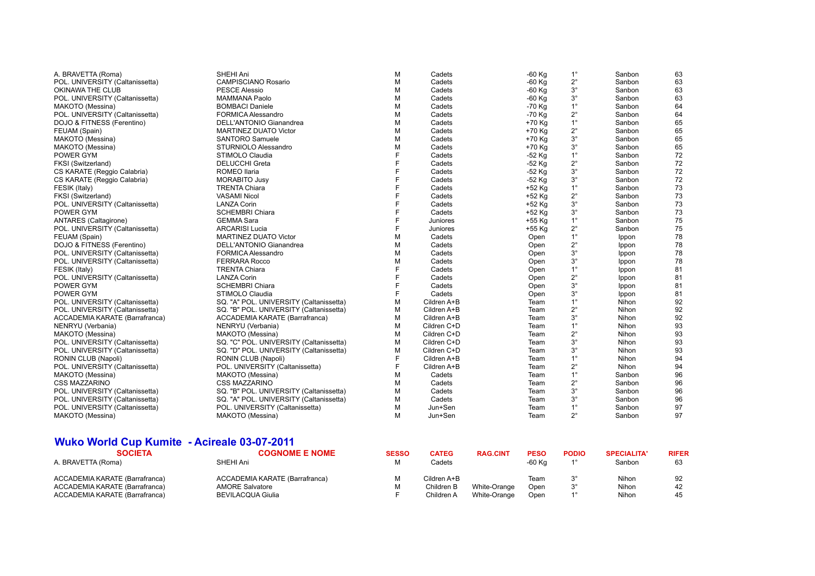| A. BRAVETTA (Roma)              | SHEHI Ani                               | М | Cadets      | $-60$ Kg | $1^{\circ}$ | Sanbon | 63 |
|---------------------------------|-----------------------------------------|---|-------------|----------|-------------|--------|----|
| POL. UNIVERSITY (Caltanissetta) | <b>CAMPISCIANO Rosario</b>              | M | Cadets      | $-60$ Kg | $2^{\circ}$ | Sanbon | 63 |
| OKINAWA THE CLUB                | <b>PESCE Alessio</b>                    | M | Cadets      | $-60$ Kg | $3^\circ$   | Sanbon | 63 |
| POL. UNIVERSITY (Caltanissetta) | <b>MAMMANA Paolo</b>                    | M | Cadets      | $-60$ Kg | $3^\circ$   | Sanbon | 63 |
| MAKOTO (Messina)                | <b>BOMBACI Daniele</b>                  | M | Cadets      | $-70$ Kg | $1^{\circ}$ | Sanbon | 64 |
| POL. UNIVERSITY (Caltanissetta) | FORMICA Alessandro                      | М | Cadets      | $-70$ Kg | $2^{\circ}$ | Sanbon | 64 |
| DOJO & FITNESS (Ferentino)      | <b>DELL'ANTONIO Gianandrea</b>          | M | Cadets      | +70 Kg   | $1^{\circ}$ | Sanbon | 65 |
| FEUAM (Spain)                   | <b>MARTINEZ DUATO Victor</b>            | M | Cadets      | +70 Kg   | $2^{\circ}$ | Sanbon | 65 |
| MAKOTO (Messina)                | <b>SANTORO Samuele</b>                  | M | Cadets      | +70 Kg   | $3^{\circ}$ | Sanbon | 65 |
| MAKOTO (Messina)                | STURNIOLO Alessandro                    | M | Cadets      | +70 Kg   | $3^{\circ}$ | Sanbon | 65 |
| <b>POWER GYM</b>                | STIMOLO Claudia                         | F | Cadets      | $-52$ Kg | $1^{\circ}$ | Sanbon | 72 |
| FKSI (Switzerland)              | <b>DELUCCHI Greta</b>                   | F | Cadets      | $-52$ Kg | $2^{\circ}$ | Sanbon | 72 |
| CS KARATE (Reggio Calabria)     | ROMEO Ilaria                            | E | Cadets      | $-52$ Kg | $3^{\circ}$ | Sanbon | 72 |
| CS KARATE (Reggio Calabria)     | <b>MORABITO Jusy</b>                    | F | Cadets      | $-52$ Kg | $3^\circ$   | Sanbon | 72 |
| FESIK (Italy)                   | <b>TRENTA Chiara</b>                    | E | Cadets      | +52 Kg   | $1^{\circ}$ | Sanbon | 73 |
| FKSI (Switzerland)              | <b>VASAMI Nicol</b>                     |   | Cadets      | +52 Kg   | $2^{\circ}$ | Sanbon | 73 |
| POL. UNIVERSITY (Caltanissetta) | <b>LANZA Corin</b>                      | F | Cadets      | +52 Kg   | $3^{\circ}$ | Sanbon | 73 |
| <b>POWER GYM</b>                | <b>SCHEMBRI Chiara</b>                  | F | Cadets      | +52 Kg   | $3^{\circ}$ | Sanbon | 73 |
| ANTARES (Caltagirone)           | <b>GEMMA Sara</b>                       | F | Juniores    | +55 Kg   | $1^{\circ}$ | Sanbon | 75 |
| POL. UNIVERSITY (Caltanissetta) | <b>ARCARISI Lucia</b>                   | E | Juniores    | +55 Kg   | $2^{\circ}$ | Sanbon | 75 |
| FEUAM (Spain)                   | <b>MARTINEZ DUATO Victor</b>            | M | Cadets      | Open     | $1^{\circ}$ | Ippon  | 78 |
| DOJO & FITNESS (Ferentino)      | DELL'ANTONIO Gianandrea                 | M | Cadets      | Open     | $2^{\circ}$ | Ippon  | 78 |
| POL. UNIVERSITY (Caltanissetta) | FORMICA Alessandro                      | М | Cadets      | Open     | $3^\circ$   | Ippon  | 78 |
| POL. UNIVERSITY (Caltanissetta) | <b>FERRARA Rocco</b>                    | M | Cadets      | Open     | $3^\circ$   | Ippon  | 78 |
| FESIK (Italy)                   | <b>TRENTA Chiara</b>                    | F | Cadets      | Open     | $1^{\circ}$ | Ippon  | 81 |
| POL. UNIVERSITY (Caltanissetta) | <b>LANZA Corin</b>                      | F | Cadets      | Open     | $2^{\circ}$ | Ippon  | 81 |
| POWER GYM                       | <b>SCHEMBRI Chiara</b>                  | F | Cadets      | Open     | $3^\circ$   | Ippon  | 81 |
| <b>POWER GYM</b>                | STIMOLO Claudia                         | F | Cadets      | Open     | $3^\circ$   | Ippon  | 81 |
| POL. UNIVERSITY (Caltanissetta) | SQ. "A" POL. UNIVERSITY (Caltanissetta) | М | Cildren A+B | Team     | $1^{\circ}$ | Nihon  | 92 |
| POL. UNIVERSITY (Caltanissetta) | SQ. "B" POL. UNIVERSITY (Caltanissetta) | M | Cildren A+B | Team     | $2^{\circ}$ | Nihon  | 92 |
| ACCADEMIA KARATE (Barrafranca)  | ACCADEMIA KARATE (Barrafranca)          | M | Cildren A+B | Team     | $3^\circ$   | Nihon  | 92 |
| NENRYU (Verbania)               | NENRYU (Verbania)                       | M | Cildren C+D | Team     | $1^{\circ}$ | Nihon  | 93 |
| MAKOTO (Messina)                | MAKOTO (Messina)                        | M | Cildren C+D | Team     | $2^{\circ}$ | Nihon  | 93 |
| POL. UNIVERSITY (Caltanissetta) | SQ. "C" POL. UNIVERSITY (Caltanissetta) | M | Cildren C+D | Team     | $3^\circ$   | Nihon  | 93 |
| POL. UNIVERSITY (Caltanissetta) | SQ. "D" POL. UNIVERSITY (Caltanissetta) | M | Cildren C+D | Team     | $3^\circ$   | Nihon  | 93 |
| RONIN CLUB (Napoli)             | RONIN CLUB (Napoli)                     | F | Cildren A+B | Team     | $1^{\circ}$ | Nihon  | 94 |
| POL. UNIVERSITY (Caltanissetta) | POL. UNIVERSITY (Caltanissetta)         | F | Cildren A+B | Team     | $2^{\circ}$ | Nihon  | 94 |
| MAKOTO (Messina)                | MAKOTO (Messina)                        | М | Cadets      | Team     | $1^{\circ}$ | Sanbon | 96 |
| <b>CSS MAZZARINO</b>            | <b>CSS MAZZARINO</b>                    | M | Cadets      | Team     | $2^{\circ}$ | Sanbon | 96 |
| POL. UNIVERSITY (Caltanissetta) | SQ. "B" POL. UNIVERSITY (Caltanissetta) | M | Cadets      | Team     | $3^{\circ}$ | Sanbon | 96 |
| POL. UNIVERSITY (Caltanissetta) | SQ. "A" POL. UNIVERSITY (Caltanissetta) | M | Cadets      | Team     | $3^\circ$   | Sanbon | 96 |
| POL. UNIVERSITY (Caltanissetta) | POL. UNIVERSITY (Caltanissetta)         | M | Jun+Sen     | Team     | $1^{\circ}$ | Sanbon | 97 |
| MAKOTO (Messina)                | MAKOTO (Messina)                        | М | Jun+Sen     | Team     | $2^{\circ}$ | Sanbon | 97 |
|                                 |                                         |   |             |          |             |        |    |

# **Wuko World Cup Kumite - Acireale 03-07-2011**

| <b>SOCIETA</b>                 | <b>COGNOME E NOME</b>          | <b>SESSO</b> | <b>CATEG</b> | <b>RAG.CINT</b> | <b>PESO</b> | <b>PODIO</b> | <b>SPECIALITA'</b> | <b>RIFER</b> |
|--------------------------------|--------------------------------|--------------|--------------|-----------------|-------------|--------------|--------------------|--------------|
| A. BRAVETTA (Roma)             | SHEHI Ani                      |              | Cadets       |                 | -60 Ka      |              | Sanbon             | 63           |
| ACCADEMIA KARATE (Barrafranca) | ACCADEMIA KARATE (Barrafranca) |              | Cildren A+B  |                 | Team        |              | Nihon              | 92           |
| ACCADEMIA KARATE (Barrafranca) | <b>AMORE Salvatore</b>         |              | Children B   | White-Orange    | Open        |              | Nihon              | 42           |
| ACCADEMIA KARATE (Barrafranca) | <b>BEVILACQUA Giulia</b>       |              | Children A   | White-Orange    | Open        |              | Nihon              | 45           |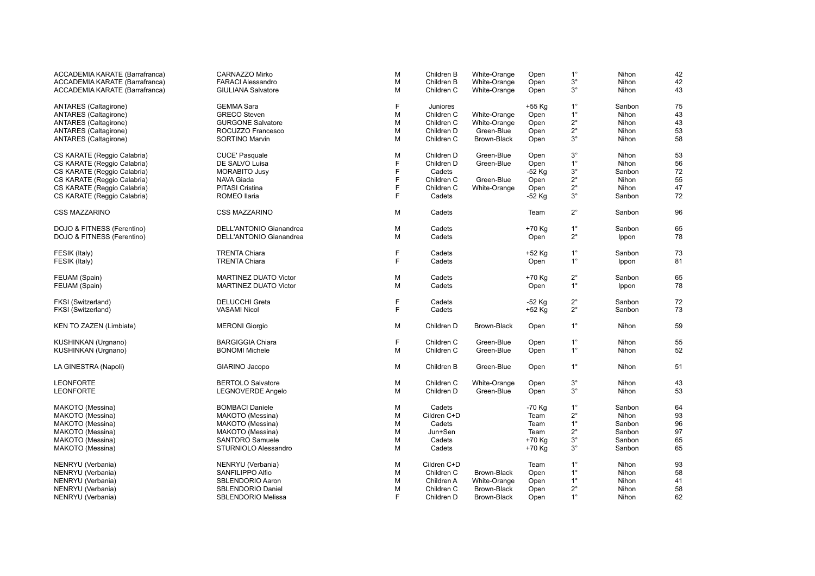| ACCADEMIA KARATE (Barrafranca) | CARNAZZO Mirko                 | M | Children B  | White-Orange | Open     | $1^{\circ}$ | Nihon  | 42     |
|--------------------------------|--------------------------------|---|-------------|--------------|----------|-------------|--------|--------|
| ACCADEMIA KARATE (Barrafranca) | <b>FARACI Alessandro</b>       | М | Children B  | White-Orange | Open     | $3^\circ$   | Nihon  | 42     |
| ACCADEMIA KARATE (Barrafranca) | <b>GIULIANA Salvatore</b>      | M | Children C  | White-Orange | Open     | $3^\circ$   | Nihon  | 43     |
| ANTARES (Caltagirone)          | <b>GEMMA Sara</b>              | F | Juniores    |              | +55 Kg   | $1^{\circ}$ | Sanbon | 75     |
| ANTARES (Caltagirone)          | <b>GRECO Steven</b>            | М | Children C  | White-Orange | Open     | $1^{\circ}$ | Nihon  | 43     |
| ANTARES (Caltagirone)          | <b>GURGONE Salvatore</b>       | М | Children C  | White-Orange | Open     | $2^{\circ}$ | Nihon  | $43\,$ |
| ANTARES (Caltagirone)          | ROCUZZO Francesco              | M | Children D  | Green-Blue   | Open     | $2^{\circ}$ | Nihon  | 53     |
| ANTARES (Caltagirone)          | <b>SORTINO Marvin</b>          | M | Children C  | Brown-Black  | Open     | $3^\circ$   | Nihon  | 58     |
| CS KARATE (Reggio Calabria)    | <b>CUCE' Pasquale</b>          | M | Children D  | Green-Blue   | Open     | $3^{\circ}$ | Nihon  | 53     |
| CS KARATE (Reggio Calabria)    | DE SALVO Luisa                 | F | Children D  | Green-Blue   | Open     | $1^{\circ}$ | Nihon  | 56     |
| CS KARATE (Reggio Calabria)    | <b>MORABITO Jusy</b>           | F | Cadets      |              | -52 Kg   | $3^\circ$   | Sanbon | $72\,$ |
| CS KARATE (Reggio Calabria)    | NAVA Giada                     | F | Children C  | Green-Blue   | Open     | $2^{\circ}$ | Nihon  | 55     |
| CS KARATE (Reggio Calabria)    | <b>PITASI Cristina</b>         | F | Children C  | White-Orange | Open     | $2^{\circ}$ | Nihon  | $47\,$ |
| CS KARATE (Reggio Calabria)    | ROMEO Ilaria                   | F | Cadets      |              | -52 Kg   | $3^\circ$   | Sanbon | 72     |
| <b>CSS MAZZARINO</b>           | <b>CSS MAZZARINO</b>           | M | Cadets      |              | Team     | $2^{\circ}$ | Sanbon | 96     |
| DOJO & FITNESS (Ferentino)     | <b>DELL'ANTONIO Gianandrea</b> | M | Cadets      |              | +70 Kg   | $1^{\circ}$ | Sanbon | 65     |
|                                | <b>DELL'ANTONIO Gianandrea</b> | M | Cadets      |              |          | $2^{\circ}$ |        | 78     |
| DOJO & FITNESS (Ferentino)     |                                |   |             |              | Open     |             | Ippon  |        |
| FESIK (Italy)                  | <b>TRENTA Chiara</b>           | F | Cadets      |              | +52 Kg   | $1^{\circ}$ | Sanbon | 73     |
| FESIK (Italy)                  | <b>TRENTA Chiara</b>           | E | Cadets      |              | Open     | $1^{\circ}$ | Ippon  | 81     |
| FEUAM (Spain)                  | <b>MARTINEZ DUATO Victor</b>   | M | Cadets      |              | +70 Kg   | $2^{\circ}$ | Sanbon | 65     |
| FEUAM (Spain)                  | <b>MARTINEZ DUATO Victor</b>   | M | Cadets      |              | Open     | $1^{\circ}$ | Ippon  | 78     |
|                                |                                |   |             |              |          |             |        |        |
| FKSI (Switzerland)             | DELUCCHI Greta                 | F | Cadets      |              | $-52$ Kg | $2^{\circ}$ | Sanbon | 72     |
| FKSI (Switzerland)             | <b>VASAMI Nicol</b>            | F | Cadets      |              | +52 Kg   | $2^{\circ}$ | Sanbon | 73     |
| KEN TO ZAZEN (Limbiate)        | <b>MERONI Giorgio</b>          | М | Children D  | Brown-Black  | Open     | $1^{\circ}$ | Nihon  | 59     |
| KUSHINKAN (Urgnano)            | <b>BARGIGGIA Chiara</b>        | F | Children C  | Green-Blue   | Open     | $1^{\circ}$ | Nihon  | 55     |
| KUSHINKAN (Urgnano)            | <b>BONOMI Michele</b>          | M | Children C  | Green-Blue   | Open     | $1^{\circ}$ | Nihon  | 52     |
| LA GINESTRA (Napoli)           | GIARINO Jacopo                 | М | Children B  | Green-Blue   | Open     | $1^{\circ}$ | Nihon  | 51     |
| <b>LEONFORTE</b>               | <b>BERTOLO Salvatore</b>       | M | Children C  | White-Orange | Open     | $3^\circ$   | Nihon  | 43     |
| <b>LEONFORTE</b>               | LEGNOVERDE Angelo              | М | Children D  | Green-Blue   | Open     | $3^\circ$   | Nihon  | 53     |
| MAKOTO (Messina)               | <b>BOMBACI Daniele</b>         | M | Cadets      |              | -70 Kg   | $1^{\circ}$ | Sanbon | 64     |
| MAKOTO (Messina)               | MAKOTO (Messina)               | М | Cildren C+D |              | Team     | $2^{\circ}$ | Nihon  | 93     |
| MAKOTO (Messina)               | MAKOTO (Messina)               | M | Cadets      |              | Team     | $1^{\circ}$ | Sanbon | 96     |
| MAKOTO (Messina)               | MAKOTO (Messina)               | M | Jun+Sen     |              | Team     | $2^{\circ}$ | Sanbon | $97\,$ |
| MAKOTO (Messina)               | <b>SANTORO Samuele</b>         | M | Cadets      |              | +70 Kg   | $3^\circ$   | Sanbon | 65     |
| MAKOTO (Messina)               | STURNIOLO Alessandro           | M | Cadets      |              | +70 Kg   | $3^\circ$   | Sanbon | 65     |
|                                |                                |   |             |              |          |             |        |        |
| NENRYU (Verbania)              | NENRYU (Verbania)              | М | Cildren C+D |              | Team     | $1^{\circ}$ | Nihon  | 93     |
| NENRYU (Verbania)              | SANFILIPPO Alfio               | M | Children C  | Brown-Black  | Open     | $1^{\circ}$ | Nihon  | 58     |
| NENRYU (Verbania)              | SBLENDORIO Aaron               | M | Children A  | White-Orange | Open     | $1^{\circ}$ | Nihon  | 41     |
| NENRYU (Verbania)              | SBLENDORIO Daniel              | M | Children C  | Brown-Black  | Open     | $2^{\circ}$ | Nihon  | 58     |
| NENRYU (Verbania)              | <b>SBLENDORIO Melissa</b>      | E | Children D  | Brown-Black  | Open     | $1^{\circ}$ | Nihon  | 62     |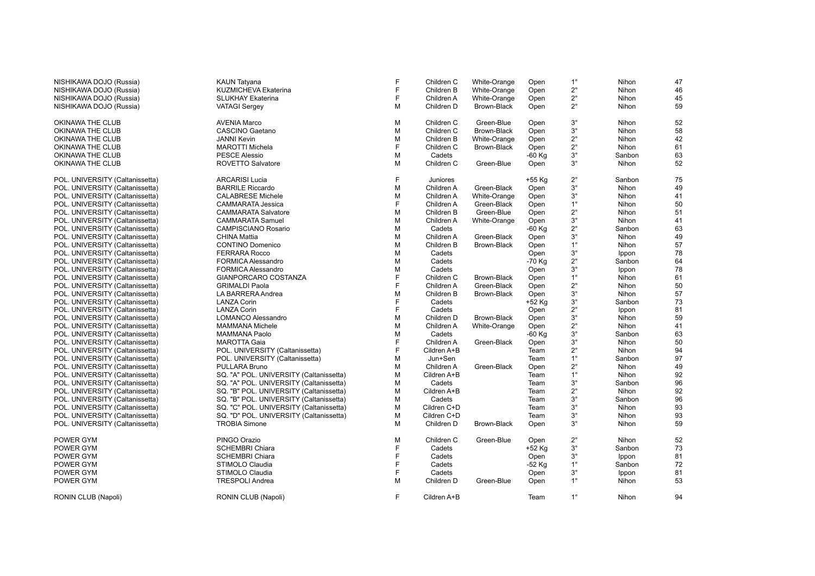| NISHIKAWA DOJO (Russia)<br>NISHIKAWA DOJO (Russia) | <b>KAUN Tatyana</b><br>KUZMICHEVA Ekaterina      | F<br>F | Children C<br>Children B | White-Orange<br>White-Orange     | Open<br>Open | $1^{\circ}$<br>$2^{\circ}$ | Nihon<br>Nihon | 47<br>46 |
|----------------------------------------------------|--------------------------------------------------|--------|--------------------------|----------------------------------|--------------|----------------------------|----------------|----------|
|                                                    |                                                  | F      |                          |                                  |              | $2^{\circ}$                |                |          |
| NISHIKAWA DOJO (Russia)<br>NISHIKAWA DOJO (Russia) | <b>SLUKHAY Ekaterina</b><br><b>VATAGI Sergey</b> | M      | Children A<br>Children D | White-Orange<br>Brown-Black      | Open<br>Open | $2^{\circ}$                | Nihon<br>Nihon | 45<br>59 |
|                                                    |                                                  | М      | Children C               |                                  |              | $3^{\circ}$                |                |          |
| OKINAWA THE CLUB                                   | <b>AVENIA Marco</b><br><b>CASCINO Gaetano</b>    | M      |                          | Green-Blue<br><b>Brown-Black</b> | Open         | $3^\circ$                  | Nihon          | 52       |
| OKINAWA THE CLUB                                   |                                                  | М      | Children C               |                                  | Open<br>Open | $2^{\circ}$                | Nihon<br>Nihon | 58<br>42 |
| OKINAWA THE CLUB                                   | <b>JANNI Kevin</b>                               | F      | Children B               | White-Orange                     |              | $2^{\circ}$                |                | 61       |
| OKINAWA THE CLUB                                   | <b>MAROTTI Michela</b><br><b>PESCE Alessio</b>   | M      | Children C<br>Cadets     | Brown-Black                      | Open         | $3^\circ$                  | Nihon          |          |
| OKINAWA THE CLUB                                   |                                                  |        |                          |                                  | -60 Kg       |                            | Sanbon         | 63       |
| OKINAWA THE CLUB                                   | <b>ROVETTO Salvatore</b>                         | М      | Children C               | Green-Blue                       | Open         | $3^\circ$                  | Nihon          | 52       |
| POL. UNIVERSITY (Caltanissetta)                    | <b>ARCARISI Lucia</b>                            | F      | Juniores                 |                                  | +55 Kg       | $2^{\circ}$                | Sanbon         | 75       |
| POL. UNIVERSITY (Caltanissetta)                    | <b>BARRILE Riccardo</b>                          | М      | Children A               | Green-Black                      | Open         | $3^{\circ}$                | Nihon          | 49       |
| POL. UNIVERSITY (Caltanissetta)                    | <b>CALABRESE Michele</b>                         | М      | Children A               | White-Orange                     | Open         | $3^\circ$                  | Nihon          | 41       |
| POL. UNIVERSITY (Caltanissetta)                    | CAMMARATA Jessica                                | F      | Children A               | Green-Black                      | Open         | $1^{\circ}$                | Nihon          | 50       |
| POL. UNIVERSITY (Caltanissetta)                    | <b>CAMMARATA Salvatore</b>                       | М      | Children B               | Green-Blue                       | Open         | $2^{\circ}$                | Nihon          | 51       |
| POL. UNIVERSITY (Caltanissetta)                    | <b>CAMMARATA Samuel</b>                          | М      | Children A               | White-Orange                     | Open         | $3^\circ$                  | Nihon          | 41       |
| POL. UNIVERSITY (Caltanissetta)                    | <b>CAMPISCIANO Rosario</b>                       | M      | Cadets                   |                                  | -60 Kg       | $2^{\circ}$                | Sanbon         | 63       |
| POL. UNIVERSITY (Caltanissetta)                    | <b>CHINA Mattia</b>                              | М      | Children A               | Green-Black                      | Open         | $3^{\circ}$                | Nihon          | 49       |
| POL. UNIVERSITY (Caltanissetta)                    | <b>CONTINO Domenico</b>                          | M      | Children B               | Brown-Black                      | Open         | $1^{\circ}$                | Nihon          | 57       |
| POL. UNIVERSITY (Caltanissetta)                    | <b>FERRARA Rocco</b>                             | M      | Cadets                   |                                  | Open         | $3^{\circ}$                | Ippon          | 78       |
| POL. UNIVERSITY (Caltanissetta)                    | <b>FORMICA Alessandro</b>                        | M      | Cadets                   |                                  | -70 Kg       | $2^{\circ}$                | Sanbon         | 64       |
| POL. UNIVERSITY (Caltanissetta)                    | FORMICA Alessandro                               | M      | Cadets                   |                                  | Open         | $3^\circ$                  | Ippon          | 78       |
| POL. UNIVERSITY (Caltanissetta)                    | GIANPORCARO COSTANZA                             | F      | Children C               | Brown-Black                      | Open         | $1^{\circ}$                | Nihon          | 61       |
| POL. UNIVERSITY (Caltanissetta)                    | <b>GRIMALDI Paola</b>                            | E      | Children A               | Green-Black                      | Open         | $2^{\circ}$                | Nihon          | 50       |
| POL. UNIVERSITY (Caltanissetta)                    | LA BARRERA Andrea                                | M      | Children B               | Brown-Black                      | Open         | $3^\circ$                  | Nihon          | 57       |
| POL. UNIVERSITY (Caltanissetta)                    | <b>LANZA Corin</b>                               | F      | Cadets                   |                                  | +52 Kg       | $3^{\circ}$                | Sanbon         | 73       |
| POL. UNIVERSITY (Caltanissetta)                    | <b>LANZA Corin</b>                               | F      | Cadets                   |                                  | Open         | $2^{\circ}$                | Ippon          | 81       |
| POL. UNIVERSITY (Caltanissetta)                    | <b>LOMANCO Alessandro</b>                        | М      | Children D               | Brown-Black                      | Open         | $3^{\circ}$                | Nihon          | 59       |
| POL. UNIVERSITY (Caltanissetta)                    | <b>MAMMANA Michele</b>                           | M      | Children A               | White-Orange                     | Open         | $2^{\circ}$                | Nihon          | 41       |
| POL. UNIVERSITY (Caltanissetta)                    | <b>MAMMANA Paolo</b>                             | M      | Cadets                   |                                  | -60 Kg       | $3^{\circ}$                | Sanbon         | 63       |
| POL. UNIVERSITY (Caltanissetta)                    | <b>MAROTTA Gaia</b>                              | F      | Children A               | Green-Black                      | Open         | $3^{\circ}$                | Nihon          | 50       |
| POL. UNIVERSITY (Caltanissetta)                    | POL. UNIVERSITY (Caltanissetta)                  | F      | Cildren A+B              |                                  | Team         | $2^{\circ}$                | Nihon          | 94       |
| POL. UNIVERSITY (Caltanissetta)                    | POL. UNIVERSITY (Caltanissetta)                  | M      | Jun+Sen                  |                                  | Team         | $1^{\circ}$                | Sanbon         | 97       |
| POL. UNIVERSITY (Caltanissetta)                    | PULLARA Bruno                                    | М      | Children A               | Green-Black                      | Open         | $2^{\circ}$                | Nihon          | 49       |
| POL. UNIVERSITY (Caltanissetta)                    | SQ. "A" POL. UNIVERSITY (Caltanissetta)          | М      | Cildren A+B              |                                  | Team         | $1^{\circ}$                | Nihon          | 92       |
| POL. UNIVERSITY (Caltanissetta)                    | SQ. "A" POL. UNIVERSITY (Caltanissetta)          | М      | Cadets                   |                                  | Team         | $3^{\circ}$                | Sanbon         | 96       |
| POL. UNIVERSITY (Caltanissetta)                    | SQ. "B" POL. UNIVERSITY (Caltanissetta)          | М      | Cildren A+B              |                                  | Team         | $2^{\circ}$                | Nihon          | 92       |
| POL. UNIVERSITY (Caltanissetta)                    | SQ. "B" POL. UNIVERSITY (Caltanissetta)          | M      | Cadets                   |                                  | Team         | $3^{\circ}$                | Sanbon         | 96       |
| POL. UNIVERSITY (Caltanissetta)                    | SQ. "C" POL. UNIVERSITY (Caltanissetta)          | М      | Cildren C+D              |                                  | Team         | $3^{\circ}$                | Nihon          | 93       |
| POL. UNIVERSITY (Caltanissetta)                    | SQ. "D" POL. UNIVERSITY (Caltanissetta)          | М      | Cildren C+D              |                                  | Team         | $3^{\circ}$                | Nihon          | 93       |
| POL. UNIVERSITY (Caltanissetta)                    | <b>TROBIA Simone</b>                             | M      | Children D               | Brown-Black                      | Open         | $3^\circ$                  | Nihon          | 59       |
| POWER GYM                                          | PINGO Orazio                                     | М      | Children C               | Green-Blue                       | Open         | $2^{\circ}$                | Nihon          | 52       |
| POWER GYM                                          | <b>SCHEMBRI Chiara</b>                           | F      | Cadets                   |                                  | +52 Kg       | $3^\circ$                  | Sanbon         | 73       |
| POWER GYM                                          | <b>SCHEMBRI Chiara</b>                           | F      | Cadets                   |                                  | Open         | $3^{\circ}$                | Ippon          | 81       |
| POWER GYM                                          | STIMOLO Claudia                                  | F      | Cadets                   |                                  | -52 Kg       | $1^{\circ}$                | Sanbon         | 72       |
| POWER GYM                                          | STIMOLO Claudia                                  | F      | Cadets                   |                                  | Open         | $3^{\circ}$                | Ippon          | 81       |
| POWER GYM                                          | <b>TRESPOLI Andrea</b>                           | M      | Children D               | Green-Blue                       | Open         | $1^{\circ}$                | Nihon          | 53       |
| RONIN CLUB (Napoli)                                | RONIN CLUB (Napoli)                              | F      | Cildren A+B              |                                  | Team         | $1^{\circ}$                | Nihon          | 94       |
|                                                    |                                                  |        |                          |                                  |              |                            |                |          |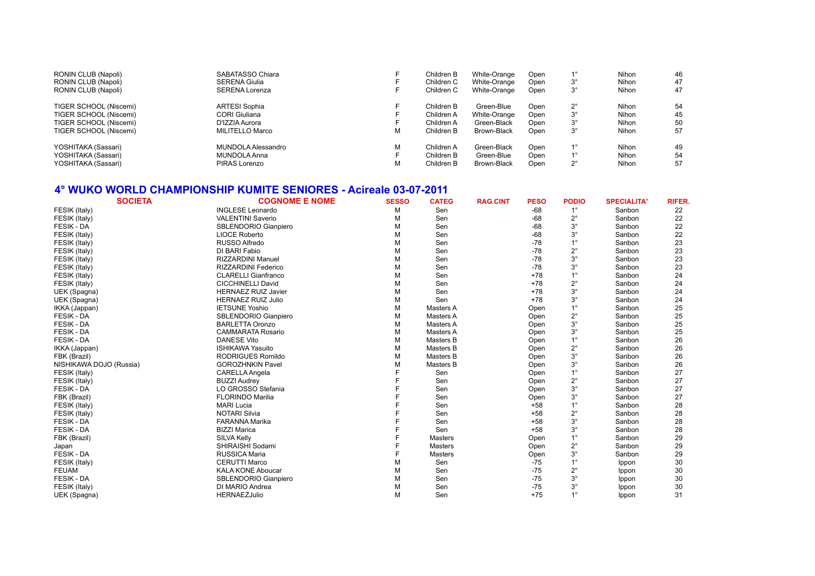| RONIN CLUB (Napoli)    | SABATASSO Chiara      | Children B | White-Orange | Open |             | Nihon        | 46 |
|------------------------|-----------------------|------------|--------------|------|-------------|--------------|----|
| RONIN CLUB (Napoli)    | <b>SERENA Giulia</b>  | Children C | White-Orange | Open | $3^{\circ}$ | Nihon        | 47 |
| RONIN CLUB (Napoli)    | <b>SERENA Lorenza</b> | Children C | White-Orange | Open | $3^{\circ}$ | Nihon        | 47 |
| TIGER SCHOOL (Niscemi) | <b>ARTESI Sophia</b>  | Children B | Green-Blue   | Open | $2^{\circ}$ | Nihon        | 54 |
| TIGER SCHOOL (Niscemi) | CORI Giuliana         | Children A | White-Orange | Open | $3^{\circ}$ | Nihon        | 45 |
| TIGER SCHOOL (Niscemi) | D'IZZIA Aurora        | Children A | Green-Black  | Open | $3^{\circ}$ | Nihon        | 50 |
| TIGER SCHOOL (Niscemi) | MILITELLO Marco       | Children B | Brown-Black  | Open | $3^{\circ}$ | Nihon        | 57 |
| YOSHITAKA (Sassari)    | MUNDOLA Alessandro    | Children A | Green-Black  | Open | 40          | <b>Nihon</b> | 49 |
| YOSHITAKA (Sassari)    | MUNDOLA Anna          | Children B | Green-Blue   | Open | $1^{\circ}$ | Nihon        | 54 |
| YOSHITAKA (Sassari)    | PIRAS Lorenzo         | Children B | Brown-Black  | Open | $2^{\circ}$ | Nihon        | 57 |
|                        |                       |            |              |      |             |              |    |

#### **4° WUKO WORLD CHAMPIONSHIP KUMITE SENIORES - Acireale 03-07-2011**

| <b>SOCIETA</b>          | <b>COGNOME E NOME</b>      | <b>SESSO</b> | <b>CATEG</b>   | <b>RAG.CINT</b> | <b>PESO</b> | <b>PODIO</b> | <b>SPECIALITA'</b> | <b>RIFER.</b> |
|-------------------------|----------------------------|--------------|----------------|-----------------|-------------|--------------|--------------------|---------------|
| FESIK (Italy)           | <b>INGLESE Leonardo</b>    | M            | Sen            |                 | $-68$       |              | Sanbon             | 22            |
| FESIK (Italy)           | <b>VALENTINI Saverio</b>   | M            | Sen            |                 | $-68$       | $2^{\circ}$  | Sanbon             | 22            |
| <b>FESIK - DA</b>       | SBLENDORIO Gianpiero       | M            | Sen            |                 | $-68$       | $3^\circ$    | Sanbon             | 22            |
| FESIK (Italy)           | LIOCE Roberto              | M            | Sen            |                 | $-68$       | $3^\circ$    | Sanbon             | 22            |
| FESIK (Italy)           | RUSSO Alfredo              | M            | Sen            |                 | $-78$       | $1^{\circ}$  | Sanbon             | 23            |
| FESIK (Italy)           | DI BARI Fabio              | M            | Sen            |                 | $-78$       | $2^{\circ}$  | Sanbon             | 23            |
| FESIK (Italy)           | <b>RIZZARDINI Manuel</b>   | M            | Sen            |                 | $-78$       | $3^{\circ}$  | Sanbon             | 23            |
| FESIK (Italy)           | RIZZARDINI Federico        | M            | Sen            |                 | $-78$       | $3^\circ$    | Sanbon             | 23            |
| FESIK (Italy)           | <b>CLARELLI Gianfranco</b> | M            | Sen            |                 | $+78$       | $1^{\circ}$  | Sanbon             | 24            |
| FESIK (Italy)           | <b>CICCHINELLI David</b>   | M            | Sen            |                 | $+78$       | $2^{\circ}$  | Sanbon             | 24            |
| UEK (Spagna)            | <b>HERNAEZ RUIZ Javier</b> | M            | Sen            |                 | $+78$       | $3^{\circ}$  | Sanbon             | 24            |
| UEK (Spagna)            | <b>HERNAEZ RUIZ Julio</b>  | M            | Sen            |                 | $+78$       | $3^\circ$    | Sanbon             | 24            |
| IKKA (Jappan)           | <b>IETSUNE Yoshio</b>      | M            | Masters A      |                 | Open        | $1^{\circ}$  | Sanbon             | 25            |
| <b>FESIK - DA</b>       | SBLENDORIO Gianpiero       | M            | Masters A      |                 | Open        | $2^{\circ}$  | Sanbon             | 25            |
| <b>FESIK - DA</b>       | <b>BARLETTA Oronzo</b>     | M            | Masters A      |                 | Open        | $3^\circ$    | Sanbon             | 25            |
| <b>FESIK - DA</b>       | <b>CAMMARATA Rosario</b>   | M            | Masters A      |                 | Open        | $3^\circ$    | Sanbon             | 25            |
| <b>FESIK - DA</b>       | <b>DANESE Vito</b>         | M            | Masters B      |                 | Open        | $1^{\circ}$  | Sanbon             | 26            |
| IKKA (Jappan)           | <b>ISHIKAWA Yasuito</b>    | M            | Masters B      |                 | Open        | $2^{\circ}$  | Sanbon             | 26            |
| FBK (Brazil)            | <b>RODRIGUES Romildo</b>   | M            | Masters B      |                 | Open        | $3^\circ$    | Sanbon             | 26            |
| NISHIKAWA DOJO (Russia) | <b>GOROZHNKIN Pavel</b>    | м            | Masters B      |                 | Open        | $3^\circ$    | Sanbon             | 26            |
| FESIK (Italy)           | <b>CARELLA Angela</b>      |              | Sen            |                 | Open        | $1^{\circ}$  | Sanbon             | 27            |
| FESIK (Italy)           | <b>BUZZI Audrey</b>        |              | Sen            |                 | Open        | $2^{\circ}$  | Sanbon             | 27            |
| <b>FESIK - DA</b>       | LO GROSSO Stefania         |              | Sen            |                 | Open        | $3^\circ$    | Sanbon             | 27            |
| FBK (Brazil)            | <b>FLORINDO Marilia</b>    |              | Sen            |                 | Open        | $3^\circ$    | Sanbon             | 27            |
| FESIK (Italy)           | <b>MARI Lucia</b>          |              | Sen            |                 | $+58$       | $1^{\circ}$  | Sanbon             | 28            |
| FESIK (Italy)           | <b>NOTARI Silvia</b>       |              | Sen            |                 | $+58$       | $2^{\circ}$  | Sanbon             | 28            |
| <b>FESIK - DA</b>       | <b>FARANNA Marika</b>      |              | Sen            |                 | $+58$       | $3^\circ$    | Sanbon             | 28            |
| <b>FESIK - DA</b>       | <b>BIZZI Marica</b>        |              | Sen            |                 | $+58$       | $3^\circ$    | Sanbon             | 28            |
| FBK (Brazil)            | <b>SILVA Kelly</b>         |              | <b>Masters</b> |                 | Open        | $1^{\circ}$  | Sanbon             | 29            |
| Japan                   | SHIRAISHI Sodami           |              | <b>Masters</b> |                 | Open        | $2^{\circ}$  | Sanbon             | 29            |
| <b>FESIK - DA</b>       | <b>RUSSICA Maria</b>       |              | <b>Masters</b> |                 | Open        | $3^\circ$    | Sanbon             | 29            |
| FESIK (Italy)           | <b>CERUTTI Marco</b>       | M            | Sen            |                 | $-75$       | $1^{\circ}$  | Ippon              | 30            |
| <b>FEUAM</b>            | <b>KALA KONE Aboucar</b>   | M            | Sen            |                 | $-75$       | $2^{\circ}$  | Ippon              | 30            |
| <b>FESIK - DA</b>       | SBLENDORIO Gianpiero       | M            | Sen            |                 | $-75$       | $3^\circ$    | Ippon              | 30            |
| FESIK (Italy)           | DI MARIO Andrea            | M            | Sen            |                 | $-75$       | $3^\circ$    | Ippon              | 30            |
| UEK (Spagna)            | <b>HERNAEZJulio</b>        | M            | Sen            |                 | $+75$       | $1^{\circ}$  | Ippon              | 31            |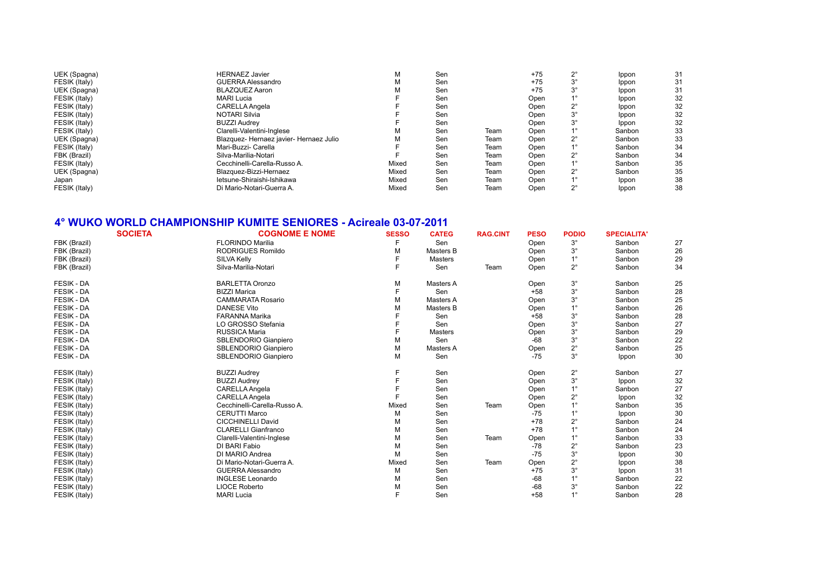| UEK (Spagna)<br><b>HERNAEZ Javier</b><br>Sen<br>$+75$<br>м                          |             | Ippon  | 31 |
|-------------------------------------------------------------------------------------|-------------|--------|----|
| FESIK (Italy)<br>GUERRA Alessandro<br>$+75$<br>Sen<br>М                             | 3°          | Ippon  | 31 |
| UEK (Spagna)<br><b>BLAZQUEZ Aaron</b><br>Sen<br>$+75$<br>М                          | $3^\circ$   | Ippon  | 31 |
| FESIK (Italy)<br><b>MARI Lucia</b><br>Sen<br>Open                                   |             | Ippon  | 32 |
| <b>CARELLA Angela</b><br>FESIK (Italy)<br>Sen<br>Open                               | 2°          | Ippon  | 32 |
| FESIK (Italy)<br><b>NOTARI Silvia</b><br>Sen<br>Open                                | $3^{\circ}$ | Ippon  | 32 |
| <b>BUZZI Audrey</b><br>FESIK (Italy)<br>Sen<br>Open                                 | 3°          | Ippon  | 32 |
| FESIK (Italy)<br>Clarelli-Valentini-Inglese<br>Sen<br>Team<br>м<br>Open             |             | Sanbon | 33 |
| UEK (Spagna)<br>Blazquez- Hernaez javier- Hernaez Julio<br>Sen<br>м<br>Team<br>Open | 2°          | Sanbon | 33 |
| FESIK (Italy)<br>Mari-Buzzi- Carella<br>Sen<br>Team<br>Open                         |             | Sanbon | 34 |
| FBK (Brazil)<br>Silva-Marilia-Notari<br>Sen<br>Team<br>Open                         | 2°          | Sanbon | 34 |
| FESIK (Italy)<br>Cecchinelli-Carella-Russo A.<br>Mixed<br>Sen<br>Open<br>Team       |             | Sanbon | 35 |
| UEK (Spagna)<br>Blazquez-Bizzi-Hernaez<br>Mixed<br>Sen<br>Team<br>Open              | 2°          | Sanbon | 35 |
| letsune-Shiraishi-Ishikawa<br>Mixed<br>Sen<br>Team<br>Open<br>Japan                 |             | Ippon  | 38 |
| FESIK (Italy)<br>Di Mario-Notari-Guerra A.<br>Mixed<br>Sen<br>Team<br>Open          | 2°          | Ippon  | 38 |

## **4° WUKO WORLD CHAMPIONSHIP KUMITE SENIORES - Acireale 03-07-2011**

|                   | <b>SOCIETA</b> | <b>COGNOME E NOME</b>        | <b>SESSO</b> | <b>CATEG</b>   | <b>RAG.CINT</b> | <b>PESO</b> | <b>PODIO</b> | <b>SPECIALITA'</b> |    |
|-------------------|----------------|------------------------------|--------------|----------------|-----------------|-------------|--------------|--------------------|----|
| FBK (Brazil)      |                | <b>FLORINDO Marilia</b>      |              | Sen            |                 | Open        | $3^\circ$    | Sanbon             | 27 |
| FBK (Brazil)      |                | RODRIGUES Romildo            | М            | Masters B      |                 | Open        | $3^\circ$    | Sanbon             | 26 |
| FBK (Brazil)      |                | <b>SILVA Kelly</b>           |              | <b>Masters</b> |                 | Open        | $1^{\circ}$  | Sanbon             | 29 |
| FBK (Brazil)      |                | Silva-Marilia-Notari         | F            | Sen            | Team            | Open        | $2^{\circ}$  | Sanbon             | 34 |
| <b>FESIK - DA</b> |                | <b>BARLETTA Oronzo</b>       | M            | Masters A      |                 | Open        | $3^\circ$    | Sanbon             | 25 |
| <b>FESIK - DA</b> |                | <b>BIZZI Marica</b>          |              | Sen            |                 | $+58$       | $3^\circ$    | Sanbon             | 28 |
| <b>FESIK - DA</b> |                | <b>CAMMARATA Rosario</b>     | М            | Masters A      |                 | Open        | $3^\circ$    | Sanbon             | 25 |
| FESIK - DA        |                | <b>DANESE Vito</b>           | м            | Masters B      |                 | Open        |              | Sanbon             | 26 |
| <b>FESIK - DA</b> |                | <b>FARANNA Marika</b>        |              | Sen            |                 | $+58$       | $3^\circ$    | Sanbon             | 28 |
| <b>FESIK - DA</b> |                | LO GROSSO Stefania           |              | Sen            |                 | Open        | $3^\circ$    | Sanbon             | 27 |
| <b>FESIK - DA</b> |                | <b>RUSSICA Maria</b>         |              | <b>Masters</b> |                 | Open        | $3^\circ$    | Sanbon             | 29 |
| <b>FESIK - DA</b> |                | SBLENDORIO Gianpiero         | М            | Sen            |                 | $-68$       | $3^\circ$    | Sanbon             | 22 |
| FESIK - DA        |                | SBLENDORIO Gianpiero         | М            | Masters A      |                 | Open        | $2^{\circ}$  | Sanbon             | 25 |
| <b>FESIK - DA</b> |                | SBLENDORIO Gianpiero         | М            | Sen            |                 | $-75$       | $3^\circ$    | Ippon              | 30 |
| FESIK (Italy)     |                | <b>BUZZI Audrey</b>          |              | Sen            |                 | Open        | $2^{\circ}$  | Sanbon             | 27 |
| FESIK (Italy)     |                | <b>BUZZI Audrey</b>          |              | Sen            |                 | Open        | $3^\circ$    | Ippon              | 32 |
| FESIK (Italy)     |                | <b>CARELLA Angela</b>        |              | Sen            |                 | Open        | $1^{\circ}$  | Sanbon             | 27 |
| FESIK (Italy)     |                | CARELLA Angela               |              | Sen            |                 | Open        | $2^{\circ}$  | Ippon              | 32 |
| FESIK (Italy)     |                | Cecchinelli-Carella-Russo A. | Mixed        | Sen            | Team            | Open        |              | Sanbon             | 35 |
| FESIK (Italy)     |                | <b>CERUTTI Marco</b>         | м            | Sen            |                 | $-75$       |              | Ippon              | 30 |
| FESIK (Italy)     |                | CICCHINELLI David            | М            | Sen            |                 | $+78$       | 2°           | Sanbon             | 24 |
| FESIK (Italy)     |                | <b>CLARELLI Gianfranco</b>   | М            | Sen            |                 | $+78$       |              | Sanbon             | 24 |
| FESIK (Italy)     |                | Clarelli-Valentini-Inglese   | М            | Sen            | Team            | Open        |              | Sanbon             | 33 |
| FESIK (Italy)     |                | DI BARI Fabio                | М            | Sen            |                 | $-78$       | $2^{\circ}$  | Sanbon             | 23 |
| FESIK (Italy)     |                | DI MARIO Andrea              | М            | Sen            |                 | $-75$       | $3^\circ$    | Ippon              | 30 |
| FESIK (Italy)     |                | Di Mario-Notari-Guerra A.    | Mixed        | Sen            | Team            | Open        | $2^{\circ}$  | Ippon              | 38 |
| FESIK (Italy)     |                | <b>GUERRA Alessandro</b>     | М            | Sen            |                 | $+75$       | $3^\circ$    | Ippon              | 31 |
| FESIK (Italy)     |                | <b>INGLESE Leonardo</b>      | м            | Sen            |                 | -68         |              | Sanbon             | 22 |
| FESIK (Italy)     |                | <b>LIOCE Roberto</b>         | М            | Sen            |                 | $-68$       | $3^\circ$    | Sanbon             | 22 |
| FESIK (Italy)     |                | <b>MARI Lucia</b>            | F            | Sen            |                 | $+58$       | $1^{\circ}$  | Sanbon             | 28 |